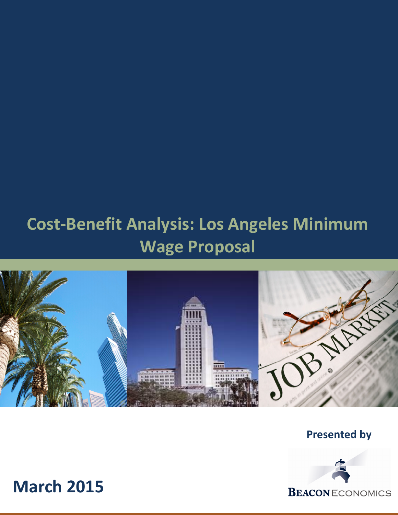# Cost-Benefit Analysis: Los Angeles Minimum Wage Proposal



Presented by



March 2015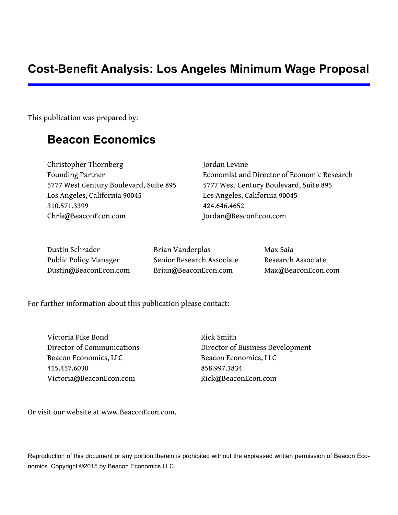## **Cost-Benefit Analysis: Los Angeles Minimum Wage Proposal**

This publication was prepared by:

## **Beacon Economics**

Christopher Thornberg Jordan Levine 5777 West Century Boulevard, Suite 895 5777 West Century Boulevard, Suite 895 Los Angeles, California 90045 Los Angeles, California 90045 310.571.3399 424.646.4652 [Chris@BeaconEcon.com](mailto:chris@beaconecon.com) [Jordan@BeaconEcon.com](mailto:jordan@beaconecon.com)

Founding Partner **Example 2** Economist and Director of Economic Research

Dustin Schrader Brian Vanderplas Max Saia Public Policy Manager Senior Research Associate Research Associate [Dustin@BeaconEcon.com](mailto:Dustin@beaconecon.com) [Brian@BeaconEcon.com](mailto:Brian@beaconecon.com) [Max@BeaconEcon.com](mailto:Max@beaconecon.com)

For further information about this publication please contact:

Victoria Pike Bond Rick Smith Beacon Economics, LLC Beacon Economics, LLC 415.457.6030 858.997.1834 [Victoria@BeaconEcon.com](mailto:victoria@beaconecon.com) [Rick@BeaconEcon.com](mailto:rick@beaconecon.com)

Director of Communications Director of Business Development

Or visit our website at [www.BeaconEcon.com.](http://www.beaconecon.com/)

Reproduction of this document or any portion therein is prohibited without the expressed written permission of Beacon Economics. Copyright ©2015 by Beacon Economics LLC.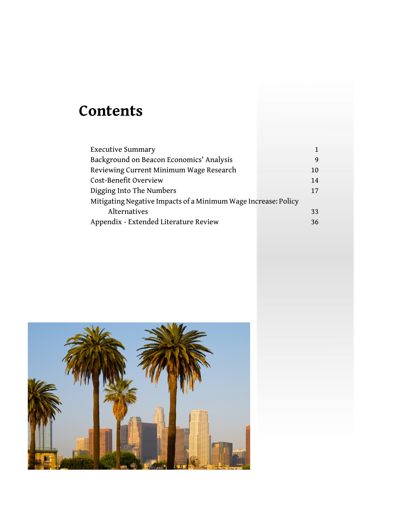# **Contents**

| <b>Executive Summary</b>                                       |    |
|----------------------------------------------------------------|----|
| Background on Beacon Economics' Analysis                       | 9  |
| Reviewing Current Minimum Wage Research                        | 10 |
| Cost-Benefit Overview                                          | 14 |
| Digging Into The Numbers                                       | 17 |
| Mitigating Negative Impacts of a Minimum Wage Increase: Policy |    |
| Alternatives                                                   | 33 |
| Appendix - Extended Literature Review                          | 36 |

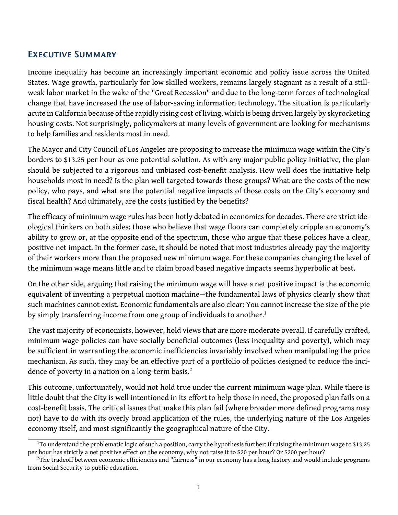### <span id="page-3-0"></span>Executive Summary

Income inequality has become an increasingly important economic and policy issue across the United States. Wage growth, particularly for low skilled workers, remains largely stagnant as a result of a stillweak labor market in the wake of the "Great Recession" and due to the long-term forces of technological change that have increased the use of labor-saving information technology. The situation is particularly acute in California because of the rapidly rising cost of living, which is being driven largely by skyrocketing housing costs. Not surprisingly, policymakers at many levels of government are looking for mechanisms to help families and residents most in need.

The Mayor and City Council of Los Angeles are proposing to increase the minimum wage within the City's borders to \$13.25 per hour as one potential solution. As with any major public policy initiative, the plan should be subjected to a rigorous and unbiased cost-benefit analysis. How well does the initiative help households most in need? Is the plan well targeted towards those groups? What are the costs of the new policy, who pays, and what are the potential negative impacts of those costs on the City's economy and fiscal health? And ultimately, are the costs justified by the benefits?

The efficacy of minimum wage rules has been hotly debated in economics for decades. There are strict ideological thinkers on both sides: those who believe that wage floors can completely cripple an economy's ability to grow or, at the opposite end of the spectrum, those who argue that these polices have a clear, positive net impact. In the former case, it should be noted that most industries already pay the majority of their workers more than the proposed new minimum wage. For these companies changing the level of the minimum wage means little and to claim broad based negative impacts seems hyperbolic at best.

On the other side, arguing that raising the minimum wage will have a net positive impact is the economic equivalent of inventing a perpetual motion machine—the fundamental laws of physics clearly show that such machines cannot exist. Economic fundamentals are also clear: You cannot increase the size of the pie by simply transferring income from one group of individuals to another.<sup>[1](#page-3-1)</sup>

The vast majority of economists, however, hold views that are more moderate overall. If carefully crafted, minimum wage policies can have socially beneficial outcomes (less inequality and poverty), which may be sufficient in warranting the economic inefficiencies invariably involved when manipulating the price mechanism. As such, they may be an effective part of a portfolio of policies designed to reduce the inci-dence of poverty in a nation on a long-term basis.<sup>[2](#page-3-2)</sup>

This outcome, unfortunately, would not hold true under the current minimum wage plan. While there is little doubt that the City is well intentioned in its effort to help those in need, the proposed plan fails on a cost-benefit basis. The critical issues that make this plan fail (where broader more defined programs may not) have to do with its overly broad application of the rules, the underlying nature of the Los Angeles economy itself, and most significantly the geographical nature of the City.

<span id="page-3-1"></span><sup>&</sup>lt;sup>1</sup>To understand the problematic logic of such a position, carry the hypothesis further: If raising the minimum wage to \$13.25 per hour has strictly a net positive effect on the economy, why not raise it to \$20 per hour? Or \$200 per hour?

<span id="page-3-2"></span><sup>&</sup>lt;sup>2</sup>The tradeoff between economic efficiencies and "fairness" in our economy has a long history and would include programs from Social Security to public education.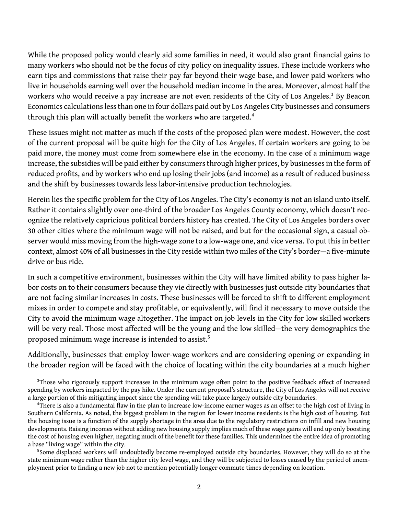While the proposed policy would clearly aid some families in need, it would also grant financial gains to many workers who should not be the focus of city policy on inequality issues. These include workers who earn tips and commissions that raise their pay far beyond their wage base, and lower paid workers who live in households earning well over the household median income in the area. Moreover, almost half the workers who would receive a pay increase are not even residents of the City of Los Angeles.<sup>[3](#page-4-0)</sup> By Beacon Economics calculations less than one in four dollars paid out by Los Angeles City businesses and consumers through this plan will actually benefit the workers who are targeted.<sup>[4](#page-4-1)</sup>

These issues might not matter as much if the costs of the proposed plan were modest. However, the cost of the current proposal will be quite high for the City of Los Angeles. If certain workers are going to be paid more, the money must come from somewhere else in the economy. In the case of a minimum wage increase, the subsidies will be paid either by consumers through higher prices, by businesses in the form of reduced profits, and by workers who end up losing their jobs (and income) as a result of reduced business and the shift by businesses towards less labor-intensive production technologies.

Herein lies the specific problem for the City of Los Angeles. The City's economy is not an island unto itself. Rather it contains slightly over one-third of the broader Los Angeles County economy, which doesn't recognize the relatively capricious political borders history has created. The City of Los Angeles borders over 30 other cities where the minimum wage will not be raised, and but for the occasional sign, a casual observer would miss moving from the high-wage zone to a low-wage one, and vice versa. To put this in better context, almost 40% of all businesses in the City reside within two miles of the City's border—a five-minute drive or bus ride.

In such a competitive environment, businesses within the City will have limited ability to pass higher labor costs on to their consumers because they vie directly with businesses just outside city boundaries that are not facing similar increases in costs. These businesses will be forced to shift to different employment mixes in order to compete and stay profitable, or equivalently, will find it necessary to move outside the City to avoid the minimum wage altogether. The impact on job levels in the City for low skilled workers will be very real. Those most affected will be the young and the low skilled—the very demographics the proposed minimum wage increase is intended to assist.<sup>[5](#page-4-2)</sup>

Additionally, businesses that employ lower-wage workers and are considering opening or expanding in the broader region will be faced with the choice of locating within the city boundaries at a much higher

<span id="page-4-0"></span><sup>&</sup>lt;sup>3</sup>Those who rigorously support increases in the minimum wage often point to the positive feedback effect of increased spending by workers impacted by the pay hike. Under the current proposal's structure, the City of Los Angeles will not receive a large portion of this mitigating impact since the spending will take place largely outside city boundaries.

<span id="page-4-1"></span><sup>&</sup>lt;sup>4</sup>There is also a fundamental flaw in the plan to increase low-income earner wages as an offset to the high cost of living in Southern California. As noted, the biggest problem in the region for lower income residents is the high cost of housing. But the housing issue is a function of the supply shortage in the area due to the regulatory restrictions on infill and new housing developments. Raising incomes without adding new housing supply implies much of these wage gains will end up only boosting the cost of housing even higher, negating much of the benefit for these families. This undermines the entire idea of promoting a base "living wage" within the city.

<span id="page-4-2"></span><sup>&</sup>lt;sup>5</sup>Some displaced workers will undoubtedly become re-employed outside city boundaries. However, they will do so at the state minimum wage rather than the higher city level wage, and they will be subjected to losses caused by the period of unemployment prior to finding a new job not to mention potentially longer commute times depending on location.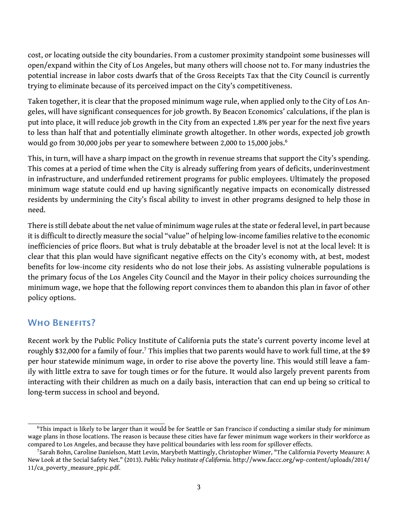cost, or locating outside the city boundaries. From a customer proximity standpoint some businesses will open/expand within the City of Los Angeles, but many others will choose not to. For many industries the potential increase in labor costs dwarfs that of the Gross Receipts Tax that the City Council is currently trying to eliminate because of its perceived impact on the City's competitiveness.

Taken together, it is clear that the proposed minimum wage rule, when applied only to the City of Los Angeles, will have significant consequences for job growth. By Beacon Economics' calculations, if the plan is put into place, it will reduce job growth in the City from an expected 1.8% per year for the next five years to less than half that and potentially eliminate growth altogether. In other words, expected job growth would go from 30,000 jobs per year to somewhere between 2,000 to 15,000 jobs.<sup>[6](#page-5-0)</sup>

This, in turn, will have a sharp impact on the growth in revenue streams that support the City's spending. This comes at a period of time when the City is already suffering from years of deficits, underinvestment in infrastructure, and underfunded retirement programs for public employees. Ultimately the proposed minimum wage statute could end up having significantly negative impacts on economically distressed residents by undermining the City's fiscal ability to invest in other programs designed to help those in need.

There is still debate about the net value of minimum wage rules at the state or federal level, in part because it is difficult to directly measure the social "value" of helping low-income families relative to the economic inefficiencies of price floors. But what is truly debatable at the broader level is not at the local level: It is clear that this plan would have significant negative effects on the City's economy with, at best, modest benefits for low-income city residents who do not lose their jobs. As assisting vulnerable populations is the primary focus of the Los Angeles City Council and the Mayor in their policy choices surrounding the minimum wage, we hope that the following report convinces them to abandon this plan in favor of other policy options.

### WHO BENEFITS?

Recent work by the Public Policy Institute of California puts the state's current poverty income level at roughly \$32,000 for a family of four.<sup>[7](#page-5-1)</sup> This implies that two parents would have to work full time, at the \$9 per hour statewide minimum wage, in order to rise above the poverty line. This would still leave a family with little extra to save for tough times or for the future. It would also largely prevent parents from interacting with their children as much on a daily basis, interaction that can end up being so critical to long-term success in school and beyond.

<span id="page-5-0"></span><sup>&</sup>lt;sup>6</sup>This impact is likely to be larger than it would be for Seattle or San Francisco if conducting a similar study for minimum wage plans in those locations. The reason is because these cities have far fewer minimum wage workers in their workforce as compared to Los Angeles, and because they have political boundaries with less room for spillover effects.

<span id="page-5-1"></span><sup>&</sup>lt;sup>7</sup>Sarah Bohn, Caroline Danielson, Matt Levin, Marybeth Mattingly, Christopher Wimer, "The California Poverty Measure: A New Look at the Social Safety Net." (2013). *Public Policy Institute of California*. [http://www.faccc.org/wp-content/uploads/2014/](http://www.faccc.org/wp-content/uploads/2014/11/ca_poverty_measure_ppic.pdf) [11/ca\\_poverty\\_measure\\_ppic.pdf](http://www.faccc.org/wp-content/uploads/2014/11/ca_poverty_measure_ppic.pdf).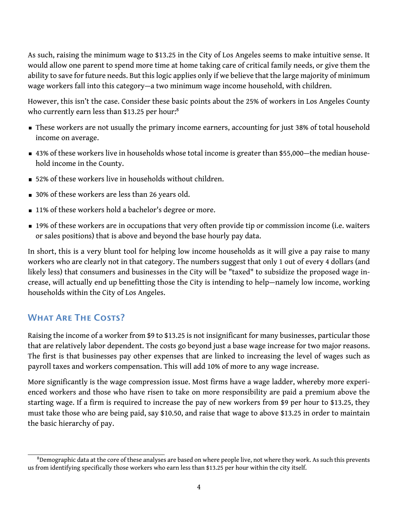As such, raising the minimum wage to \$13.25 in the City of Los Angeles seems to make intuitive sense. It would allow one parent to spend more time at home taking care of critical family needs, or give them the ability to save for future needs. But this logic applies only if we believe that the large majority of minimum wage workers fall into this category—a two minimum wage income household, with children.

However, this isn't the case. Consider these basic points about the 25% of workers in Los Angeles County who currently earn less than \$13.25 per hour:<sup>[8](#page-6-0)</sup>

- **These workers are not usually the primary income earners, accounting for just 38% of total household** income on average.
- 43% of these workers live in households whose total income is greater than \$55,000—the median household income in the County.
- 52% of these workers live in households without children.
- 30% of these workers are less than 26 years old.
- 11% of these workers hold a bachelor's degree or more.
- 19% of these workers are in occupations that very often provide tip or commission income (i.e. waiters or sales positions) that is above and beyond the base hourly pay data.

In short, this is a very blunt tool for helping low income households as it will give a pay raise to many workers who are clearly not in that category. The numbers suggest that only 1 out of every 4 dollars (and likely less) that consumers and businesses in the City will be "taxed" to subsidize the proposed wage increase, will actually end up benefitting those the City is intending to help—namely low income, working households within the City of Los Angeles.

### What Are The Costs?

Raising the income of a worker from \$9 to \$13.25 is not insignificant for many businesses, particular those that are relatively labor dependent. The costs go beyond just a base wage increase for two major reasons. The first is that businesses pay other expenses that are linked to increasing the level of wages such as payroll taxes and workers compensation. This will add 10% of more to any wage increase.

More significantly is the wage compression issue. Most firms have a wage ladder, whereby more experienced workers and those who have risen to take on more responsibility are paid a premium above the starting wage. If a firm is required to increase the pay of new workers from \$9 per hour to \$13.25, they must take those who are being paid, say \$10.50, and raise that wage to above \$13.25 in order to maintain the basic hierarchy of pay.

<span id="page-6-0"></span><sup>&</sup>lt;sup>8</sup>Demographic data at the core of these analyses are based on where people live, not where they work. As such this prevents us from identifying specifically those workers who earn less than \$13.25 per hour within the city itself.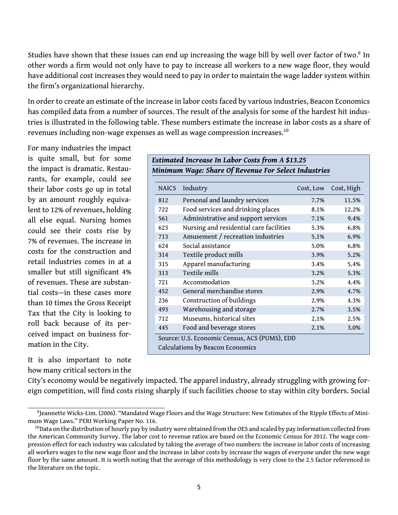Studies have shown that these issues can end up increasing the wage bill by well over factor of two.<sup>[9](#page-7-0)</sup> In other words a firm would not only have to pay to increase all workers to a new wage floor, they would have additional cost increases they would need to pay in order to maintain the wage ladder system within the firm's organizational hierarchy.

In order to create an estimate of the increase in labor costs faced by various industries, Beacon Economics has compiled data from a number of sources. The result of the analysis for some of the hardest hit industries is illustrated in the following table. These numbers estimate the increase in labor costs as a share of revenues including non-wage expenses as well as wage compression increases.<sup>[10](#page-7-1)</sup>

For many industries the impact is quite small, but for some the impact is dramatic. Restaurants, for example, could see their labor costs go up in total by an amount roughly equivalent to 12% of revenues, holding all else equal. Nursing homes could see their costs rise by 7% of revenues. The increase in costs for the construction and retail industries comes in at a smaller but still significant 4% of revenues. These are substantial costs—in these cases more than 10 times the Gross Receipt Tax that the City is looking to roll back because of its perceived impact on business formation in the City.

It is also important to note how many critical sectors in the

| Estimated Increase In Labor Costs from A \$13.25 |  |                |                                                      |  |  |  |
|--------------------------------------------------|--|----------------|------------------------------------------------------|--|--|--|
|                                                  |  |                | Minimum Wage: Share Of Revenue For Select Industries |  |  |  |
|                                                  |  | NAICS Industry | Cost, Low Cost, High                                 |  |  |  |

| <b>NAICS</b> | muustry                                       | COSL, LOW | COSL, HIGH |  |  |  |
|--------------|-----------------------------------------------|-----------|------------|--|--|--|
| 812          | Personal and laundry services                 | 7.7%      | 11.5%      |  |  |  |
| 722          | Food services and drinking places             | 8.1%      | 12.2%      |  |  |  |
| 561          | Administrative and support services           | 7.1%      | 9.4%       |  |  |  |
| 623          | Nursing and residential care facilities       | 5.3%      | 6.8%       |  |  |  |
| 713          | Amusement / recreation industries             | 5.1%      | 6.9%       |  |  |  |
| 624          | Social assistance                             | 5.0%      | 6.8%       |  |  |  |
| 314          | Textile product mills                         | 3.9%      | 5.2%       |  |  |  |
| 315          | Apparel manufacturing                         | 3.4%      | 5.4%       |  |  |  |
| 313          | Textile mills                                 | 3.2%      | 5.3%       |  |  |  |
| 721          | Accommodation                                 | 3.2%      | 4.4%       |  |  |  |
| 452          | General merchandise stores                    | 2.9%      | 4.7%       |  |  |  |
| 236          | Construction of buildings                     | 2.9%      | 4.3%       |  |  |  |
| 493          | Warehousing and storage                       | 2.7%      | 3.5%       |  |  |  |
| 712          | Museums, historical sites                     | 2.1%      | 2.5%       |  |  |  |
| 445          | Food and beverage stores                      | 2.1%      | 3.0%       |  |  |  |
|              | Source: U.S. Economic Census, ACS (PUMS), EDD |           |            |  |  |  |
|              | Calculations by Beacon Economics              |           |            |  |  |  |

City's economy would be negatively impacted. The apparel industry, already struggling with growing foreign competition, will find costs rising sharply if such facilities choose to stay within city borders. Social

<span id="page-7-0"></span><sup>9</sup> Jeannette Wicks-Lim. (2006). "Mandated Wage Floors and the Wage Structure: New Estimates of the Ripple Effects of Minimum Wage Laws." PERI Working Paper No. 116.

<span id="page-7-1"></span><sup>&</sup>lt;sup>10</sup>Data on the distribution of hourly pay by industry were obtained from the OES and scaled by pay information collected from the American Community Survey. The labor cost to revenue ratios are based on the Economic Census for 2012. The wage compression effect for each industry was calculated by taking the average of two numbers: the increase in labor costs of increasing all workers wages to the new wage floor and the increase in labor costs by increase the wages of everyone under the new wage floor by the same amount. It is worth noting that the average of this methodology is very close to the 2.5 factor referenced in the literature on the topic.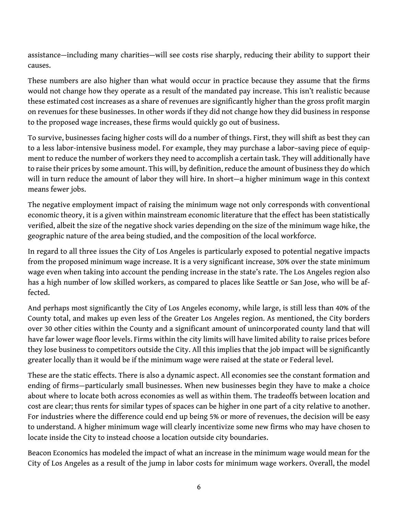assistance—including many charities—will see costs rise sharply, reducing their ability to support their causes.

These numbers are also higher than what would occur in practice because they assume that the firms would not change how they operate as a result of the mandated pay increase. This isn't realistic because these estimated cost increases as a share of revenues are significantly higher than the gross profit margin on revenues for these businesses. In other words if they did not change how they did business in response to the proposed wage increases, these firms would quickly go out of business.

To survive, businesses facing higher costs will do a number of things. First, they will shift as best they can to a less labor-intensive business model. For example, they may purchase a labor–saving piece of equipment to reduce the number of workers they need to accomplish a certain task. They will additionally have to raise their prices by some amount. This will, by definition, reduce the amount of business they do which will in turn reduce the amount of labor they will hire. In short—a higher minimum wage in this context means fewer jobs.

The negative employment impact of raising the minimum wage not only corresponds with conventional economic theory, it is a given within mainstream economic literature that the effect has been statistically verified, albeit the size of the negative shock varies depending on the size of the minimum wage hike, the geographic nature of the area being studied, and the composition of the local workforce.

In regard to all three issues the City of Los Angeles is particularly exposed to potential negative impacts from the proposed minimum wage increase. It is a very significant increase, 30% over the state minimum wage even when taking into account the pending increase in the state's rate. The Los Angeles region also has a high number of low skilled workers, as compared to places like Seattle or San Jose, who will be affected.

And perhaps most significantly the City of Los Angeles economy, while large, is still less than 40% of the County total, and makes up even less of the Greater Los Angeles region. As mentioned, the City borders over 30 other cities within the County and a significant amount of unincorporated county land that will have far lower wage floor levels. Firms within the city limits will have limited ability to raise prices before they lose business to competitors outside the City. All this implies that the job impact will be significantly greater locally than it would be if the minimum wage were raised at the state or Federal level.

These are the static effects. There is also a dynamic aspect. All economies see the constant formation and ending of firms—particularly small businesses. When new businesses begin they have to make a choice about where to locate both across economies as well as within them. The tradeoffs between location and cost are clear; thus rents for similar types of spaces can be higher in one part of a city relative to another. For industries where the difference could end up being 5% or more of revenues, the decision will be easy to understand. A higher minimum wage will clearly incentivize some new firms who may have chosen to locate inside the City to instead choose a location outside city boundaries.

Beacon Economics has modeled the impact of what an increase in the minimum wage would mean for the City of Los Angeles as a result of the jump in labor costs for minimum wage workers. Overall, the model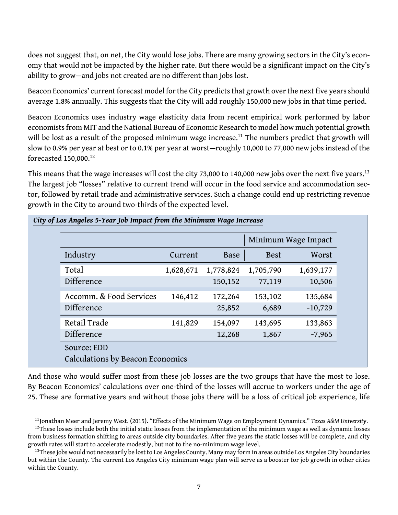does not suggest that, on net, the City would lose jobs. There are many growing sectors in the City's economy that would not be impacted by the higher rate. But there would be a significant impact on the City's ability to grow—and jobs not created are no different than jobs lost.

Beacon Economics' current forecast model for the City predicts that growth over the next five years should average 1.8% annually. This suggests that the City will add roughly 150,000 new jobs in that time period.

Beacon Economics uses industry wage elasticity data from recent empirical work performed by labor economists from MIT and the National Bureau of Economic Research to model how much potential growth will be lost as a result of the proposed minimum wage increase.<sup>[11](#page-9-0)</sup> The numbers predict that growth will slow to 0.9% per year at best or to 0.1% per year at worst—roughly 10,000 to 77,000 new jobs instead of the forecasted 150,000.[12](#page-9-1)

This means that the wage increases will cost the city 73,000 to 140,000 new jobs over the next five years.<sup>[13](#page-9-2)</sup> The largest job "losses" relative to current trend will occur in the food service and accommodation sector, followed by retail trade and administrative services. Such a change could end up restricting revenue growth in the City to around two-thirds of the expected level.

| Minimum Wage Impact     |           |             |             |           |
|-------------------------|-----------|-------------|-------------|-----------|
| Industry                | Current   | <b>Base</b> | <b>Best</b> | Worst     |
| Total                   | 1,628,671 | 1,778,824   | 1,705,790   | 1,639,177 |
| Difference              |           | 150,152     | 77,119      | 10,506    |
| Accomm. & Food Services | 146,412   | 172,264     | 153,102     | 135,684   |
| Difference              |           | 25,852      | 6,689       | $-10,729$ |
| Retail Trade            | 141,829   | 154,097     | 143,695     | 133,863   |
| Difference              |           | 12,268      | 1,867       | $-7,965$  |

And those who would suffer most from these job losses are the two groups that have the most to lose. By Beacon Economics' calculations over one-third of the losses will accrue to workers under the age of

25. These are formative years and without those jobs there will be a loss of critical job experience, life

<span id="page-9-1"></span><span id="page-9-0"></span><sup>11</sup>Jonathan Meer and Jeremy West. (2015). "Effects of the Minimum Wage on Employment Dynamics." *Texas A&M University*. <sup>12</sup>These losses include both the initial static losses from the implementation of the minimum wage as well as dynamic losses

from business formation shifting to areas outside city boundaries. After five years the static losses will be complete, and city growth rates will start to accelerate modestly, but not to the no-minimum wage level.

<span id="page-9-2"></span> $13$ These jobs would not necessarily be lost to Los Angeles County. Many may form in areas outside Los Angeles City boundaries but within the County. The current Los Angeles City minimum wage plan will serve as a booster for job growth in other cities within the County.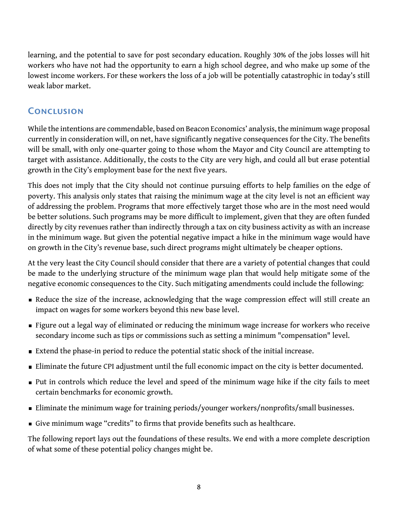learning, and the potential to save for post secondary education. Roughly 30% of the jobs losses will hit workers who have not had the opportunity to earn a high school degree, and who make up some of the lowest income workers. For these workers the loss of a job will be potentially catastrophic in today's still weak labor market.

### **CONCLUSION**

While the intentions are commendable, based on Beacon Economics' analysis, the minimum wage proposal currently in consideration will, on net, have significantly negative consequences for the City. The benefits will be small, with only one-quarter going to those whom the Mayor and City Council are attempting to target with assistance. Additionally, the costs to the City are very high, and could all but erase potential growth in the City's employment base for the next five years.

This does not imply that the City should not continue pursuing efforts to help families on the edge of poverty. This analysis only states that raising the minimum wage at the city level is not an efficient way of addressing the problem. Programs that more effectively target those who are in the most need would be better solutions. Such programs may be more difficult to implement, given that they are often funded directly by city revenues rather than indirectly through a tax on city business activity as with an increase in the minimum wage. But given the potential negative impact a hike in the minimum wage would have on growth in the City's revenue base, such direct programs might ultimately be cheaper options.

At the very least the City Council should consider that there are a variety of potential changes that could be made to the underlying structure of the minimum wage plan that would help mitigate some of the negative economic consequences to the City. Such mitigating amendments could include the following:

- Reduce the size of the increase, acknowledging that the wage compression effect will still create an impact on wages for some workers beyond this new base level.
- **Figure out a legal way of eliminated or reducing the minimum wage increase for workers who receive** secondary income such as tips or commissions such as setting a minimum "compensation" level.
- Extend the phase-in period to reduce the potential static shock of the initial increase.
- Eliminate the future CPI adjustment until the full economic impact on the city is better documented.
- Put in controls which reduce the level and speed of the minimum wage hike if the city fails to meet certain benchmarks for economic growth.
- **Eliminate the minimum wage for training periods/younger workers/nonprofits/small businesses.**
- Give minimum wage "credits" to firms that provide benefits such as healthcare.

The following report lays out the foundations of these results. We end with a more complete description of what some of these potential policy changes might be.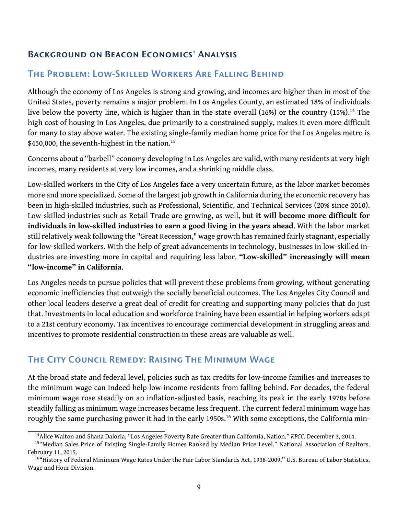### <span id="page-11-0"></span>Background on Beacon Economics' Analysis

### The Problem: Low-Skilled Workers Are Falling Behind

Although the economy of Los Angeles is strong and growing, and incomes are higher than in most of the United States, poverty remains a major problem. In Los Angeles County, an estimated 18% of individuals live below the poverty line, which is higher than in the state overall  $(16%)$  or the country  $(15%).^{14}$  $(15%).^{14}$  $(15%).^{14}$  The high cost of housing in Los Angeles, due primarily to a constrained supply, makes it even more difficult for many to stay above water. The existing single-family median home price for the Los Angeles metro is \$450,000, the seventh-highest in the nation.<sup>[15](#page-11-2)</sup>

Concerns about a "barbell" economy developing in Los Angeles are valid, with many residents at very high incomes, many residents at very low incomes, and a shrinking middle class.

Low-skilled workers in the City of Los Angeles face a very uncertain future, as the labor market becomes more and more specialized. Some of the largest job growth in California during the economic recovery has been in high-skilled industries, such as Professional, Scientific, and Technical Services (20% since 2010). Low-skilled industries such as Retail Trade are growing, as well, but **it will become more difficult for individuals in low-skilled industries to earn a good living in the years ahead**. With the labor market still relatively weak following the "Great Recession," wage growth has remained fairly stagnant, especially for low-skilled workers. With the help of great advancements in technology, businesses in low-skilled industries are investing more in capital and requiring less labor. **"Low-skilled" increasingly will mean "low-income" in California**.

Los Angeles needs to pursue policies that will prevent these problems from growing, without generating economic inefficiencies that outweigh the socially beneficial outcomes. The Los Angeles City Council and other local leaders deserve a great deal of credit for creating and supporting many policies that do just that. Investments in local education and workforce training have been essential in helping workers adapt to a 21st century economy. Tax incentives to encourage commercial development in struggling areas and incentives to promote residential construction in these areas are valuable as well.

### The City Council Remedy: Raising The Minimum Wage

At the broad state and federal level, policies such as tax credits for low-income families and increases to the minimum wage can indeed help low-income residents from falling behind. For decades, the federal minimum wage rose steadily on an inflation-adjusted basis, reaching its peak in the early 1970s before steadily falling as minimum wage increases became less frequent. The current federal minimum wage has roughly the same purchasing power it had in the early 1950s.<sup>[16](#page-11-3)</sup> With some exceptions, the California min-

<span id="page-11-2"></span><span id="page-11-1"></span><sup>14</sup>Alice Walton and Shana Daloria, "Los Angeles Poverty Rate Greater than California, Nation." *KPCC*. December 3, 2014.

<sup>15&</sup>quot; Median Sales Price of Existing Single-Family Homes Ranked by Median Price Level." National Association of Realtors. February 11, 2015.

<span id="page-11-3"></span><sup>&</sup>lt;sup>16</sup>"History of Federal Minimum Wage Rates Under the Fair Labor Standards Act, 1938-2009." U.S. Bureau of Labor Statistics, Wage and Hour Division.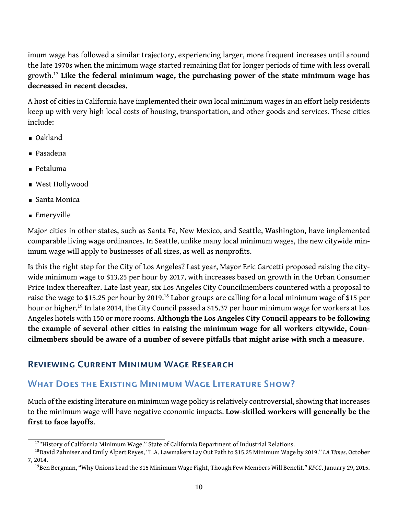imum wage has followed a similar trajectory, experiencing larger, more frequent increases until around the late 1970s when the minimum wage started remaining flat for longer periods of time with less overall growth.[17](#page-12-1) **Like the federal minimum wage, the purchasing power of the state minimum wage has decreased in recent decades.**

A host of cities in California have implemented their own local minimum wages in an effort help residents keep up with very high local costs of housing, transportation, and other goods and services. These cities include:

- Oakland
- Pasadena
- Petaluma
- West Hollywood
- Santa Monica
- Emeryville

Major cities in other states, such as Santa Fe, New Mexico, and Seattle, Washington, have implemented comparable living wage ordinances. In Seattle, unlike many local minimum wages, the new citywide minimum wage will apply to businesses of all sizes, as well as nonprofits.

Is this the right step for the City of Los Angeles? Last year, Mayor Eric Garcetti proposed raising the citywide minimum wage to \$13.25 per hour by 2017, with increases based on growth in the Urban Consumer Price Index thereafter. Late last year, six Los Angeles City Councilmembers countered with a proposal to raise the wage to \$15.25 per hour by 2019.<sup>[18](#page-12-2)</sup> Labor groups are calling for a local minimum wage of \$15 per hour or higher.<sup>[19](#page-12-3)</sup> In late 2014, the City Council passed a \$15.37 per hour minimum wage for workers at Los Angeles hotels with 150 or more rooms. **Although the Los Angeles City Council appears to be following the example of several other cities in raising the minimum wage for all workers citywide, Councilmembers should be aware of a number of severe pitfalls that might arise with such a measure**.

### <span id="page-12-0"></span>Reviewing Current Minimum Wage Research

### WHAT DOES THE EXISTING MINIMUM WAGE LITERATURE SHOW?

Much of the existing literature on minimum wage policy is relatively controversial, showing that increases to the minimum wage will have negative economic impacts. **Low-skilled workers will generally be the first to face layoffs**.

<span id="page-12-2"></span><span id="page-12-1"></span><sup>&</sup>lt;sup>17</sup>"History of California Minimum Wage." State of California Department of Industrial Relations.

<sup>18</sup>David Zahniser and Emily Alpert Reyes, "L.A. Lawmakers Lay Out Path to \$15.25 Minimum Wage by 2019." *LA Times*. October 7, 2014.

<span id="page-12-3"></span><sup>19</sup>Ben Bergman, "Why Unions Lead the \$15 Minimum Wage Fight, Though Few Members Will Benefit." *KPCC*. January 29, 2015.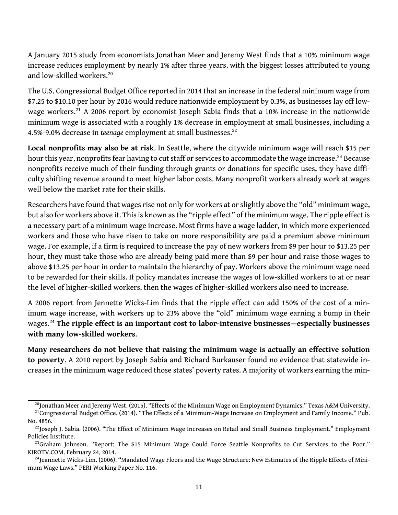A January 2015 study from economists Jonathan Meer and Jeremy West finds that a 10% minimum wage increase reduces employment by nearly 1% after three years, with the biggest losses attributed to young and low-skilled workers.<sup>[20](#page-13-0)</sup>

The U.S. Congressional Budget Office reported in 2014 that an increase in the federal minimum wage from \$7.25 to \$10.10 per hour by 2016 would reduce nationwide employment by 0.3%, as businesses lay off low-wage workers.<sup>[21](#page-13-1)</sup> A 2006 report by economist Joseph Sabia finds that a 10% increase in the nationwide minimum wage is associated with a roughly 1% decrease in employment at small businesses, including a 4.5%-9.0% decrease in *teenage* employment at small businesses.<sup>[22](#page-13-2)</sup>

**Local nonprofits may also be at risk**. In Seattle, where the citywide minimum wage will reach \$15 per hour this year, nonprofits fear having to cut staff or services to accommodate the wage increase.<sup>[23](#page-13-3)</sup> Because nonprofits receive much of their funding through grants or donations for specific uses, they have difficulty shifting revenue around to meet higher labor costs. Many nonprofit workers already work at wages well below the market rate for their skills.

Researchers have found that wages rise not only for workers at or slightly above the "old" minimum wage, but also for workers above it. This is known as the "ripple effect" of the minimum wage. The ripple effect is a necessary part of a minimum wage increase. Most firms have a wage ladder, in which more experienced workers and those who have risen to take on more responsibility are paid a premium above minimum wage. For example, if a firm is required to increase the pay of new workers from \$9 per hour to \$13.25 per hour, they must take those who are already being paid more than \$9 per hour and raise those wages to above \$13.25 per hour in order to maintain the hierarchy of pay. Workers above the minimum wage need to be rewarded for their skills. If policy mandates increase the wages of low-skilled workers to at or near the level of higher-skilled workers, then the wages of higher-skilled workers also need to increase.

A 2006 report from Jennette Wicks-Lim finds that the ripple effect can add 150% of the cost of a minimum wage increase, with workers up to 23% above the "old" minimum wage earning a bump in their wages.[24](#page-13-4) **The ripple effect is an important cost to labor-intensive businesses—especially businesses with many low-skilled workers**.

**Many researchers do not believe that raising the minimum wage is actually an effective solution to poverty**. A 2010 report by Joseph Sabia and Richard Burkauser found no evidence that statewide increases in the minimum wage reduced those states' poverty rates. A majority of workers earning the min-

<span id="page-13-1"></span><span id="page-13-0"></span><sup>&</sup>lt;sup>20</sup>Jonathan Meer and Jeremy West. (2015). "Effects of the Minimum Wage on Employment Dynamics." Texas A&M University.

<sup>&</sup>lt;sup>21</sup>Congressional Budget Office. (2014). "The Effects of a Minimum-Wage Increase on Employment and Family Income." Pub. No. 4856.

<span id="page-13-2"></span><sup>&</sup>lt;sup>22</sup>Joseph J. Sabia. (2006). "The Effect of Minimum Wage Increases on Retail and Small Business Employment." Employment Policies Institute.

<span id="page-13-3"></span> $^{23}$ Graham Johnson. "Report: The \$15 Minimum Wage Could Force Seattle Nonprofits to Cut Services to the Poor." KIROTV.COM. February 24, 2014.

<span id="page-13-4"></span> $^{24}$ Jeannette Wicks-Lim. (2006). "Mandated Wage Floors and the Wage Structure: New Estimates of the Ripple Effects of Minimum Wage Laws." PERI Working Paper No. 116.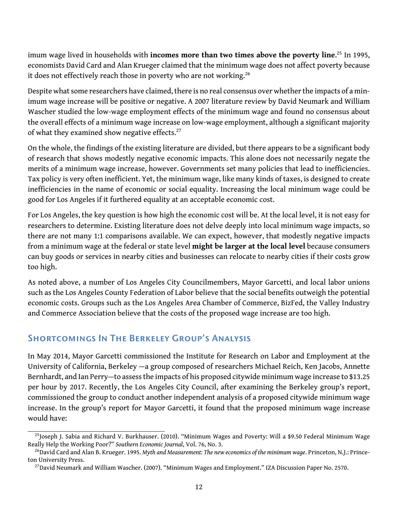imum wage lived in households with **incomes more than two times above the poverty line**. [25](#page-14-0) In 1995, economists David Card and Alan Krueger claimed that the minimum wage does not affect poverty because it does not effectively reach those in poverty who are not working.<sup>[26](#page-14-1)</sup>

Despite what some researchers have claimed, there is no real consensus over whether the impacts of a minimum wage increase will be positive or negative. A 2007 literature review by David Neumark and William Wascher studied the low-wage employment effects of the minimum wage and found no consensus about the overall effects of a minimum wage increase on low-wage employment, although a significant majority of what they examined show negative effects.<sup>[27](#page-14-2)</sup>

On the whole, the findings of the existing literature are divided, but there appears to be a significant body of research that shows modestly negative economic impacts. This alone does not necessarily negate the merits of a minimum wage increase, however. Governments set many policies that lead to inefficiencies. Tax policy is very often inefficient. Yet, the minimum wage, like many kinds of taxes, is designed to create inefficiencies in the name of economic or social equality. Increasing the local minimum wage could be good for Los Angeles if it furthered equality at an acceptable economic cost.

For Los Angeles, the key question is how high the economic cost will be. At the local level, it is not easy for researchers to determine. Existing literature does not delve deeply into local minimum wage impacts, so there are not many 1:1 comparisons available. We can expect, however, that modestly negative impacts from a minimum wage at the federal or state level **might be larger at the local level** because consumers can buy goods or services in nearby cities and businesses can relocate to nearby cities if their costs grow too high.

As noted above, a number of Los Angeles City Councilmembers, Mayor Garcetti, and local labor unions such as the Los Angeles County Federation of Labor believe that the social benefits outweigh the potential economic costs. Groups such as the Los Angeles Area Chamber of Commerce, BizFed, the Valley Industry and Commerce Association believe that the costs of the proposed wage increase are too high.

### Shortcomings In The Berkeley Group's Analysis

In May 2014, Mayor Garcetti commissioned the Institute for Research on Labor and Employment at the University of California, Berkeley —a group composed of researchers Michael Reich, Ken Jacobs, Annette Bernhardt, and Ian Perry—to assess the impacts of his proposed citywide minimum wage increase to \$13.25 per hour by 2017. Recently, the Los Angeles City Council, after examining the Berkeley group's report, commissioned the group to conduct another independent analysis of a proposed citywide minimum wage increase. In the group's report for Mayor Garcetti, it found that the proposed minimum wage increase would have:

<span id="page-14-0"></span><sup>&</sup>lt;sup>25</sup>Joseph J. Sabia and Richard V. Burkhauser. (2010). "Minimum Wages and Poverty: Will a \$9.50 Federal Minimum Wage Really Help the Working Poor?" *Southern Economic Journal*, Vol. 76, No. 3.

<span id="page-14-1"></span><sup>26</sup>David Card and Alan B. Krueger. 1995. *Myth and Measurement: The new economics of the minimum wage*. Princeton, N.J.: Princeton University Press.

<span id="page-14-2"></span><sup>&</sup>lt;sup>27</sup>David Neumark and William Wascher. (2007). "Minimum Wages and Employment." IZA Discussion Paper No. 2570.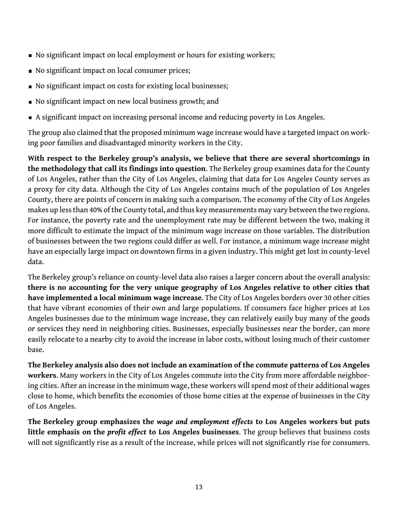- No significant impact on local employment or hours for existing workers;
- No significant impact on local consumer prices;
- No significant impact on costs for existing local businesses;
- No significant impact on new local business growth; and
- A significant impact on increasing personal income and reducing poverty in Los Angeles.

The group also claimed that the proposed minimum wage increase would have a targeted impact on working poor families and disadvantaged minority workers in the City.

**With respect to the Berkeley group's analysis, we believe that there are several shortcomings in the methodology that call its findings into question**. The Berkeley group examines data for the County of Los Angeles, rather than the City of Los Angeles, claiming that data for Los Angeles County serves as a proxy for city data. Although the City of Los Angeles contains much of the population of Los Angeles County, there are points of concern in making such a comparison. The economy of the City of Los Angeles makes up less than 40% of the County total, and thus key measurements may vary between the two regions. For instance, the poverty rate and the unemployment rate may be different between the two, making it more difficult to estimate the impact of the minimum wage increase on those variables. The distribution of businesses between the two regions could differ as well. For instance, a minimum wage increase might have an especially large impact on downtown firms in a given industry. This might get lost in county-level data.

The Berkeley group's reliance on county-level data also raises a larger concern about the overall analysis: **there is no accounting for the very unique geography of Los Angeles relative to other cities that have implemented a local minimum wage increase**. The City of Los Angeles borders over 30 other cities that have vibrant economies of their own and large populations. If consumers face higher prices at Los Angeles businesses due to the minimum wage increase, they can relatively easily buy many of the goods or services they need in neighboring cities. Businesses, especially businesses near the border, can more easily relocate to a nearby city to avoid the increase in labor costs, without losing much of their customer base.

**The Berkeley analysis also does not include an examination of the commute patterns of Los Angeles workers**. Many workers in the City of Los Angeles commute into the City from more affordable neighboring cities. After an increase in the minimum wage, these workers will spend most of their additional wages close to home, which benefits the economies of those home cities at the expense of businesses in the City of Los Angeles.

**The Berkeley group emphasizes the** *wage and employment effects* **to Los Angeles workers but puts little emphasis on the** *profit effect* **to Los Angeles businesses**. The group believes that business costs will not significantly rise as a result of the increase, while prices will not significantly rise for consumers.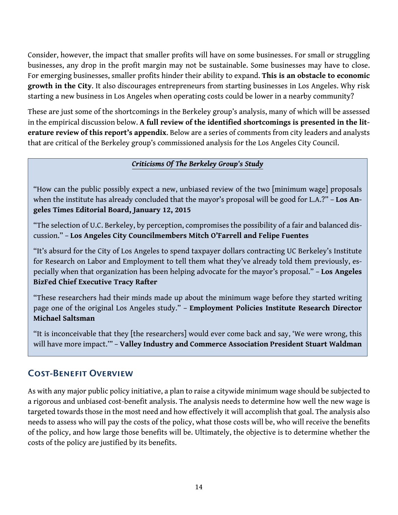Consider, however, the impact that smaller profits will have on some businesses. For small or struggling businesses, any drop in the profit margin may not be sustainable. Some businesses may have to close. For emerging businesses, smaller profits hinder their ability to expand. **This is an obstacle to economic growth in the City**. It also discourages entrepreneurs from starting businesses in Los Angeles. Why risk starting a new business in Los Angeles when operating costs could be lower in a nearby community?

These are just some of the shortcomings in the Berkeley group's analysis, many of which will be assessed in the empirical discussion below. **A full review of the identified shortcomings is presented in the literature review of this report's appendix**. Below are a series of comments from city leaders and analysts that are critical of the Berkeley group's commissioned analysis for the Los Angeles City Council.

#### *Criticisms Of The Berkeley Group's Study*

"How can the public possibly expect a new, unbiased review of the two [minimum wage] proposals when the institute has already concluded that the mayor's proposal will be good for L.A.?" – **Los Angeles Times Editorial Board, January 12, 2015**

"The selection of U.C. Berkeley, by perception, compromises the possibility of a fair and balanced discussion." – **Los Angeles City Councilmembers Mitch O'Farrell and Felipe Fuentes**

"It's absurd for the City of Los Angeles to spend taxpayer dollars contracting UC Berkeley's Institute for Research on Labor and Employment to tell them what they've already told them previously, especially when that organization has been helping advocate for the mayor's proposal." – **Los Angeles BizFed Chief Executive Tracy Rafter**

"These researchers had their minds made up about the minimum wage before they started writing page one of the original Los Angeles study." – **Employment Policies Institute Research Director Michael Saltsman**

"It is inconceivable that they [the researchers] would ever come back and say, 'We were wrong, this will have more impact.'" – **Valley Industry and Commerce Association President Stuart Waldman**

### <span id="page-16-0"></span>Cost-Benefit Overview

As with any major public policy initiative, a plan to raise a citywide minimum wage should be subjected to a rigorous and unbiased cost-benefit analysis. The analysis needs to determine how well the new wage is targeted towards those in the most need and how effectively it will accomplish that goal. The analysis also needs to assess who will pay the costs of the policy, what those costs will be, who will receive the benefits of the policy, and how large those benefits will be. Ultimately, the objective is to determine whether the costs of the policy are justified by its benefits.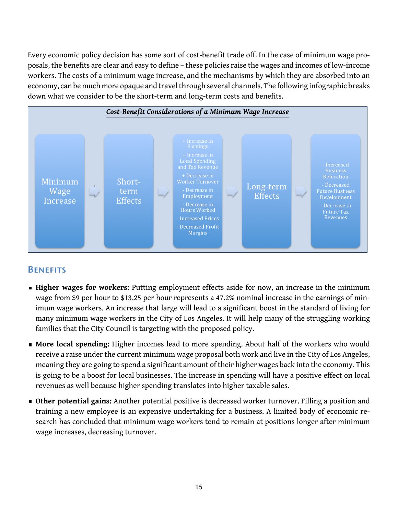Every economic policy decision has some sort of cost-benefit trade off. In the case of minimum wage proposals, the benefits are clear and easy to define – these policies raise the wages and incomes of low-income workers. The costs of a minimum wage increase, and the mechanisms by which they are absorbed into an economy, can be much more opaque and travel through several channels. The following infographic breaks down what we consider to be the short-term and long-term costs and benefits.



#### **BENEFITS**

- **Higher wages for workers:** Putting employment effects aside for now, an increase in the minimum wage from \$9 per hour to \$13.25 per hour represents a 47.2% nominal increase in the earnings of minimum wage workers. An increase that large will lead to a significant boost in the standard of living for many minimum wage workers in the City of Los Angeles. It will help many of the struggling working families that the City Council is targeting with the proposed policy.
- **More local spending:** Higher incomes lead to more spending. About half of the workers who would receive a raise under the current minimum wage proposal both work and live in the City of Los Angeles, meaning they are going to spend a significant amount of their higher wages back into the economy. This is going to be a boost for local businesses. The increase in spending will have a positive effect on local revenues as well because higher spending translates into higher taxable sales.
- **Other potential gains:** Another potential positive is decreased worker turnover. Filling a position and training a new employee is an expensive undertaking for a business. A limited body of economic research has concluded that minimum wage workers tend to remain at positions longer after minimum wage increases, decreasing turnover.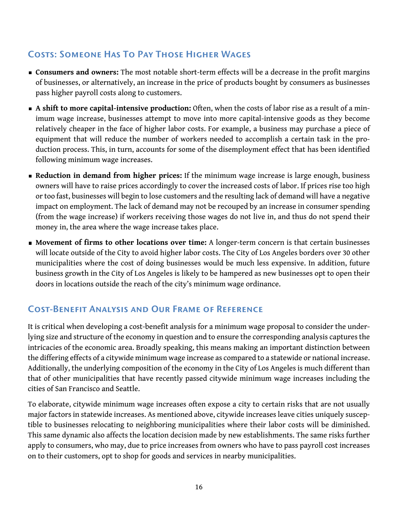### Costs: Someone Has To Pay Those Higher Wages

- **Consumers and owners:** The most notable short-term effects will be a decrease in the profit margins of businesses, or alternatively, an increase in the price of products bought by consumers as businesses pass higher payroll costs along to customers.
- **A shift to more capital-intensive production:** Often, when the costs of labor rise as a result of a minimum wage increase, businesses attempt to move into more capital-intensive goods as they become relatively cheaper in the face of higher labor costs. For example, a business may purchase a piece of equipment that will reduce the number of workers needed to accomplish a certain task in the production process. This, in turn, accounts for some of the disemployment effect that has been identified following minimum wage increases.
- **Reduction in demand from higher prices:** If the minimum wage increase is large enough, business owners will have to raise prices accordingly to cover the increased costs of labor. If prices rise too high or too fast, businesses will begin to lose customers and the resulting lack of demand will have a negative impact on employment. The lack of demand may not be recouped by an increase in consumer spending (from the wage increase) if workers receiving those wages do not live in, and thus do not spend their money in, the area where the wage increase takes place.
- **Movement of firms to other locations over time:** A longer-term concern is that certain businesses will locate outside of the City to avoid higher labor costs. The City of Los Angeles borders over 30 other municipalities where the cost of doing businesses would be much less expensive. In addition, future business growth in the City of Los Angeles is likely to be hampered as new businesses opt to open their doors in locations outside the reach of the city's minimum wage ordinance.

### Cost-Benefit Analysis and Our Frame of Reference

It is critical when developing a cost-benefit analysis for a minimum wage proposal to consider the underlying size and structure of the economy in question and to ensure the corresponding analysis captures the intricacies of the economic area. Broadly speaking, this means making an important distinction between the differing effects of a citywide minimum wage increase as compared to a statewide or national increase. Additionally, the underlying composition of the economy in the City of Los Angeles is much different than that of other municipalities that have recently passed citywide minimum wage increases including the cities of San Francisco and Seattle.

To elaborate, citywide minimum wage increases often expose a city to certain risks that are not usually major factors in statewide increases. As mentioned above, citywide increases leave cities uniquely susceptible to businesses relocating to neighboring municipalities where their labor costs will be diminished. This same dynamic also affects the location decision made by new establishments. The same risks further apply to consumers, who may, due to price increases from owners who have to pass payroll cost increases on to their customers, opt to shop for goods and services in nearby municipalities.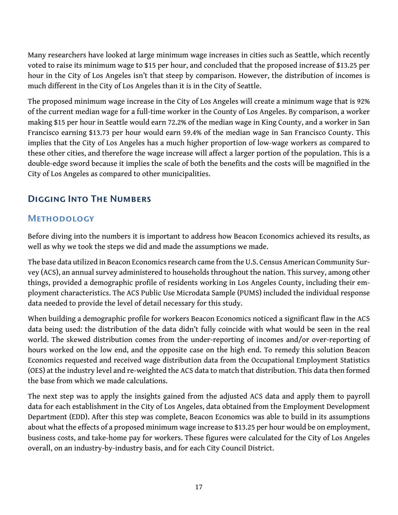Many researchers have looked at large minimum wage increases in cities such as Seattle, which recently voted to raise its minimum wage to \$15 per hour, and concluded that the proposed increase of \$13.25 per hour in the City of Los Angeles isn't that steep by comparison. However, the distribution of incomes is much different in the City of Los Angeles than it is in the City of Seattle.

The proposed minimum wage increase in the City of Los Angeles will create a minimum wage that is 92% of the current median wage for a full-time worker in the County of Los Angeles. By comparison, a worker making \$15 per hour in Seattle would earn 72.2% of the median wage in King County, and a worker in San Francisco earning \$13.73 per hour would earn 59.4% of the median wage in San Francisco County. This implies that the City of Los Angeles has a much higher proportion of low-wage workers as compared to these other cities, and therefore the wage increase will affect a larger portion of the population. This is a double-edge sword because it implies the scale of both the benefits and the costs will be magnified in the City of Los Angeles as compared to other municipalities.

### <span id="page-19-0"></span>Digging Into The Numbers

### **METHODOLOGY**

Before diving into the numbers it is important to address how Beacon Economics achieved its results, as well as why we took the steps we did and made the assumptions we made.

The base data utilized in Beacon Economics research came from the U.S. Census American Community Survey (ACS), an annual survey administered to households throughout the nation. This survey, among other things, provided a demographic profile of residents working in Los Angeles County, including their employment characteristics. The ACS Public Use Microdata Sample (PUMS) included the individual response data needed to provide the level of detail necessary for this study.

When building a demographic profile for workers Beacon Economics noticed a significant flaw in the ACS data being used: the distribution of the data didn't fully coincide with what would be seen in the real world. The skewed distribution comes from the under-reporting of incomes and/or over-reporting of hours worked on the low end, and the opposite case on the high end. To remedy this solution Beacon Economics requested and received wage distribution data from the Occupational Employment Statistics (OES) at the industry level and re-weighted the ACS data to match that distribution. This data then formed the base from which we made calculations.

The next step was to apply the insights gained from the adjusted ACS data and apply them to payroll data for each establishment in the City of Los Angeles, data obtained from the Employment Development Department (EDD). After this step was complete, Beacon Economics was able to build in its assumptions about what the effects of a proposed minimum wage increase to \$13.25 per hour would be on employment, business costs, and take-home pay for workers. These figures were calculated for the City of Los Angeles overall, on an industry-by-industry basis, and for each City Council District.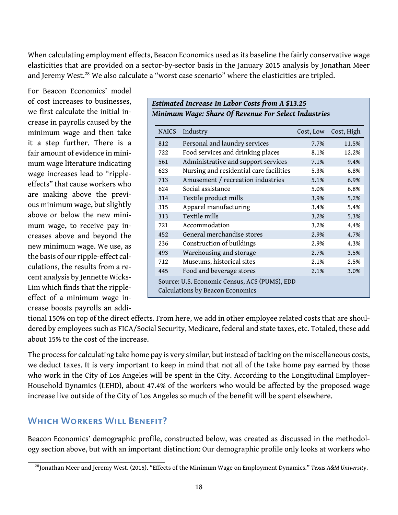When calculating employment effects, Beacon Economics used as its baseline the fairly conservative wage elasticities that are provided on a sector-by-sector basis in the January 2015 analysis by Jonathan Meer and Jeremy West.<sup>[28](#page-20-0)</sup> We also calculate a "worst case scenario" where the elasticities are tripled.

For Beacon Economics' model of cost increases to businesses, we first calculate the initial increase in payrolls caused by the minimum wage and then take it a step further. There is a fair amount of evidence in minimum wage literature indicating wage increases lead to "rippleeffects" that cause workers who are making above the previous minimum wage, but slightly above or below the new minimum wage, to receive pay increases above and beyond the new minimum wage. We use, as the basis of our ripple-effect calculations, the results from a recent analysis by Jennette Wicks-Lim which finds that the rippleeffect of a minimum wage increase boosts payrolls an addi-

|              | Estimated Increase In Labor Costs from A \$13.25<br>Minimum Wage: Share Of Revenue For Select Industries |           |            |  |  |  |  |
|--------------|----------------------------------------------------------------------------------------------------------|-----------|------------|--|--|--|--|
| <b>NAICS</b> | Industry                                                                                                 | Cost, Low | Cost, High |  |  |  |  |
| 812          | Personal and laundry services                                                                            | 7.7%      | 11.5%      |  |  |  |  |
| 722          | Food services and drinking places                                                                        | 8.1%      | 12.2%      |  |  |  |  |
| 561          | Administrative and support services                                                                      | 7.1%      | 9.4%       |  |  |  |  |
| 623          | Nursing and residential care facilities                                                                  | 5.3%      | 6.8%       |  |  |  |  |
| 713          | Amusement / recreation industries                                                                        | 5.1%      | 6.9%       |  |  |  |  |
| 624          | Social assistance                                                                                        | 5.0%      | 6.8%       |  |  |  |  |
| 314          | Textile product mills                                                                                    | 3.9%      | 5.2%       |  |  |  |  |
| 315          | Apparel manufacturing                                                                                    | 3.4%      | 5.4%       |  |  |  |  |
| 313          | Textile mills                                                                                            | 3.2%      | 5.3%       |  |  |  |  |
| 721          | Accommodation                                                                                            | 3.2%      | 4.4%       |  |  |  |  |
| 452          | General merchandise stores                                                                               | 2.9%      | 4.7%       |  |  |  |  |
| 236          | Construction of buildings                                                                                | 2.9%      | 4.3%       |  |  |  |  |
| 493          | Warehousing and storage                                                                                  | 2.7%      | 3.5%       |  |  |  |  |
| 712          | Museums, historical sites                                                                                | 2.1%      | 2.5%       |  |  |  |  |
| 445          | Food and beverage stores                                                                                 | 2.1%      | 3.0%       |  |  |  |  |
|              | Source: U.S. Economic Census, ACS (PUMS), EDD<br>Calculations by Beacon Economics                        |           |            |  |  |  |  |

tional 150% on top of the direct effects. From here, we add in other employee related costs that are shouldered by employees such as FICA/Social Security, Medicare, federal and state taxes, etc. Totaled, these add about 15% to the cost of the increase.

The process for calculating take home pay is very similar, but instead of tacking on the miscellaneous costs, we deduct taxes. It is very important to keep in mind that not all of the take home pay earned by those who work in the City of Los Angeles will be spent in the City. According to the Longitudinal Employer-Household Dynamics (LEHD), about 47.4% of the workers who would be affected by the proposed wage increase live outside of the City of Los Angeles so much of the benefit will be spent elsewhere.

### Which Workers Will Benefit?

Beacon Economics' demographic profile, constructed below, was created as discussed in the methodology section above, but with an important distinction: Our demographic profile only looks at workers who

<span id="page-20-0"></span><sup>28</sup>Jonathan Meer and Jeremy West. (2015). "Effects of the Minimum Wage on Employment Dynamics." *Texas A&M University*.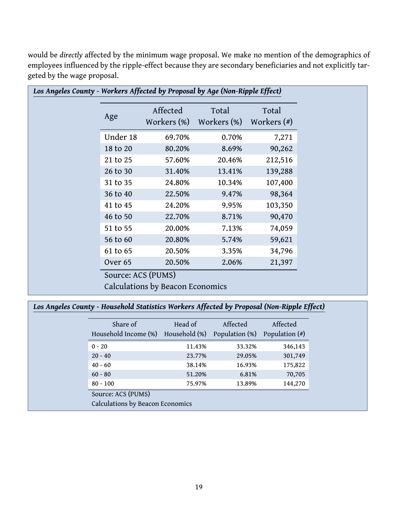| Los Angeles County - Workers Affected by Proposal by Age (Non-Ripple Effect) |                                  |                      |                        |  |  |  |
|------------------------------------------------------------------------------|----------------------------------|----------------------|------------------------|--|--|--|
| Age                                                                          | Affected<br>Workers (%)          | Total<br>Workers (%) | Total<br>Workers $(*)$ |  |  |  |
| Under 18                                                                     | 69.70%                           | 0.70%                | 7,271                  |  |  |  |
| 18 to 20                                                                     | 80.20%                           | 8.69%                | 90,262                 |  |  |  |
| 21 to 25                                                                     | 57.60%                           | 20.46%               | 212,516                |  |  |  |
| 26 to 30                                                                     | 31.40%                           | 13.41%               | 139,288                |  |  |  |
| 31 to 35                                                                     | 24.80%                           | 10.34%               | 107,400                |  |  |  |
| 36 to 40                                                                     | 22.50%                           | 9.47%                | 98,364                 |  |  |  |
| 41 to 45                                                                     | 24.20%                           | 9.95%                | 103,350                |  |  |  |
| 46 to 50                                                                     | 22.70%                           | 8.71%                | 90,470                 |  |  |  |
| 51 to 55                                                                     | 20.00%                           | 7.13%                | 74,059                 |  |  |  |
| 56 to 60                                                                     | 20.80%                           | 5.74%                | 59,621                 |  |  |  |
| 61 to 65                                                                     | 20.50%                           | 3.35%                | 34,796                 |  |  |  |
| Over <sub>65</sub>                                                           | 20.50%                           | 2.06%                | 21,397                 |  |  |  |
| Source: ACS (PUMS)                                                           |                                  |                      |                        |  |  |  |
|                                                                              | Calculations by Beacon Economics |                      |                        |  |  |  |

would be *directly* affected by the minimum wage proposal. We make no mention of the demographics of employees influenced by the ripple-effect because they are secondary beneficiaries and not explicitly targeted by the wage proposal.

### *Los Angeles County - Household Statistics Workers Affected by Proposal (Non-Ripple Effect)*

| Share of<br>Household Income (%) | Head of<br>Household (%) | Affected<br>Population (%) | Affected<br>Population $(*)$ |  |  |  |
|----------------------------------|--------------------------|----------------------------|------------------------------|--|--|--|
| $0 - 20$                         | 11.43%                   | 33.32%                     | 346,143                      |  |  |  |
| $20 - 40$                        | 23.77%                   | 29.05%                     | 301,749                      |  |  |  |
| $40 - 60$                        | 38.14%                   | 16.93%                     | 175,822                      |  |  |  |
| $60 - 80$                        | 51.20%                   | 6.81%                      | 70,705                       |  |  |  |
| $80 - 100$                       | 75.97%                   | 13.89%                     | 144,270                      |  |  |  |
| Source: ACS (PUMS)               |                          |                            |                              |  |  |  |
| Calculations by Beacon Economics |                          |                            |                              |  |  |  |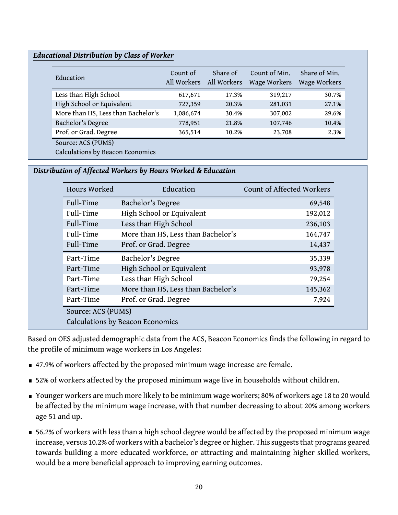#### *Educational Distribution by Class of Worker*

| Education                          | Count of<br>All Workers | Share of<br>All Workers | Count of Min.<br>Wage Workers | Share of Min.<br>Wage Workers |
|------------------------------------|-------------------------|-------------------------|-------------------------------|-------------------------------|
| Less than High School              | 617,671                 | 17.3%                   | 319,217                       | 30.7%                         |
| High School or Equivalent          | 727,359                 | 20.3%                   | 281,031                       | 27.1%                         |
| More than HS, Less than Bachelor's | 1,086,674               | 30.4%                   | 307,002                       | 29.6%                         |
| Bachelor's Degree                  | 778,951                 | 21.8%                   | 107,746                       | 10.4%                         |
| Prof. or Grad. Degree              | 365,514                 | 10.2%                   | 23,708                        | 2.3%                          |
| Source: ACS (PUMS)                 |                         |                         |                               |                               |
| Calculations by Beacon Economics   |                         |                         |                               |                               |

#### *Distribution of Affected Workers by Hours Worked & Education*

| Hours Worked                     | Education                          | Count of Affected Workers |  |  |
|----------------------------------|------------------------------------|---------------------------|--|--|
| Full-Time                        | Bachelor's Degree                  | 69,548                    |  |  |
| Full-Time                        | High School or Equivalent          | 192,012                   |  |  |
| Full-Time                        | Less than High School              | 236,103                   |  |  |
| Full-Time                        | More than HS, Less than Bachelor's | 164,747                   |  |  |
| Full-Time                        | Prof. or Grad. Degree              | 14,437                    |  |  |
| Part-Time                        | Bachelor's Degree                  | 35,339                    |  |  |
| Part-Time                        | High School or Equivalent          | 93,978                    |  |  |
| Part-Time                        | Less than High School              | 79,254                    |  |  |
| Part-Time                        | More than HS, Less than Bachelor's | 145,362                   |  |  |
| Part-Time                        | Prof. or Grad. Degree              | 7,924                     |  |  |
| Source: ACS (PUMS)               |                                    |                           |  |  |
| Calculations by Beacon Economics |                                    |                           |  |  |

Based on OES adjusted demographic data from the ACS, Beacon Economics finds the following in regard to the profile of minimum wage workers in Los Angeles:

- 47.9% of workers affected by the proposed minimum wage increase are female.
- **52% of workers affected by the proposed minimum wage live in households without children.**
- Younger workers are much more likely to be minimum wage workers; 80% of workers age 18 to 20 would be affected by the minimum wage increase, with that number decreasing to about 20% among workers age 51 and up.
- 56.2% of workers with less than a high school degree would be affected by the proposed minimum wage increase, versus 10.2% of workers with a bachelor's degree or higher. This suggests that programs geared towards building a more educated workforce, or attracting and maintaining higher skilled workers, would be a more beneficial approach to improving earning outcomes.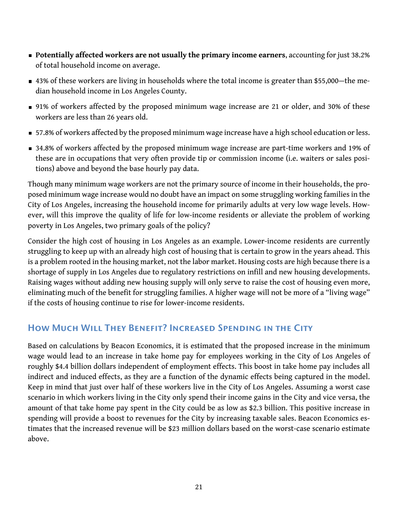- **Potentially affected workers are not usually the primary income earners**, accounting for just 38.2% of total household income on average.
- 43% of these workers are living in households where the total income is greater than \$55,000—the median household income in Los Angeles County.
- 91% of workers affected by the proposed minimum wage increase are 21 or older, and 30% of these workers are less than 26 years old.
- 57.8% of workers affected by the proposed minimum wage increase have a high school education or less.
- 34.8% of workers affected by the proposed minimum wage increase are part-time workers and 19% of these are in occupations that very often provide tip or commission income (i.e. waiters or sales positions) above and beyond the base hourly pay data.

Though many minimum wage workers are not the primary source of income in their households, the proposed minimum wage increase would no doubt have an impact on some struggling working families in the City of Los Angeles, increasing the household income for primarily adults at very low wage levels. However, will this improve the quality of life for low-income residents or alleviate the problem of working poverty in Los Angeles, two primary goals of the policy?

Consider the high cost of housing in Los Angeles as an example. Lower-income residents are currently struggling to keep up with an already high cost of housing that is certain to grow in the years ahead. This is a problem rooted in the housing market, not the labor market. Housing costs are high because there is a shortage of supply in Los Angeles due to regulatory restrictions on infill and new housing developments. Raising wages without adding new housing supply will only serve to raise the cost of housing even more, eliminating much of the benefit for struggling families. A higher wage will not be more of a "living wage" if the costs of housing continue to rise for lower-income residents.

### How Much Will They Benefit? Increased Spending in the City

Based on calculations by Beacon Economics, it is estimated that the proposed increase in the minimum wage would lead to an increase in take home pay for employees working in the City of Los Angeles of roughly \$4.4 billion dollars independent of employment effects. This boost in take home pay includes all indirect and induced effects, as they are a function of the dynamic effects being captured in the model. Keep in mind that just over half of these workers live in the City of Los Angeles. Assuming a worst case scenario in which workers living in the City only spend their income gains in the City and vice versa, the amount of that take home pay spent in the City could be as low as \$2.3 billion. This positive increase in spending will provide a boost to revenues for the City by increasing taxable sales. Beacon Economics estimates that the increased revenue will be \$23 million dollars based on the worst-case scenario estimate above.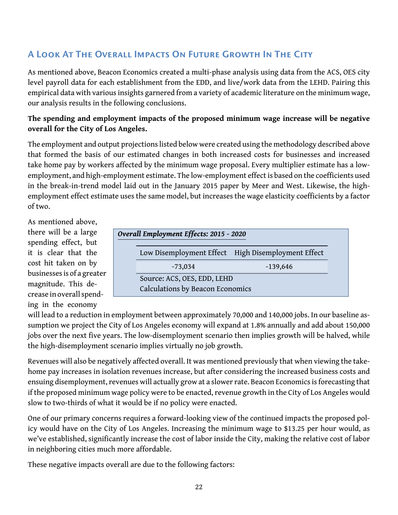### A Look At The Overall Impacts On Future Growth In The City

As mentioned above, Beacon Economics created a multi-phase analysis using data from the ACS, OES city level payroll data for each establishment from the EDD, and live/work data from the LEHD. Pairing this empirical data with various insights garnered from a variety of academic literature on the minimum wage, our analysis results in the following conclusions.

#### **The spending and employment impacts of the proposed minimum wage increase will be negative overall for the City of Los Angeles.**

The employment and output projections listed below were created using the methodology described above that formed the basis of our estimated changes in both increased costs for businesses and increased take home pay by workers affected by the minimum wage proposal. Every multiplier estimate has a lowemployment, and high-employment estimate. The low-employment effect is based on the coefficients used in the break-in-trend model laid out in the January 2015 paper by Meer and West. Likewise, the highemployment effect estimate uses the same model, but increases the wage elasticity coefficients by a factor of two.

As mentioned above, there will be a large spending effect, but it is clear that the cost hit taken on by businesses is of a greater magnitude. This decrease in overall spending in the economy

|                             | Low Disemployment Effect High Disemployment Effect |  |  |  |  |
|-----------------------------|----------------------------------------------------|--|--|--|--|
| $-73,034$                   | $-139,646$                                         |  |  |  |  |
| Source: ACS, OES, EDD, LEHD |                                                    |  |  |  |  |
|                             | Calculations by Beacon Economics                   |  |  |  |  |

will lead to a reduction in employment between approximately 70,000 and 140,000 jobs. In our baseline assumption we project the City of Los Angeles economy will expand at 1.8% annually and add about 150,000 jobs over the next five years. The low-disemployment scenario then implies growth will be halved, while the high-disemployment scenario implies virtually no job growth.

Revenues will also be negatively affected overall. It was mentioned previously that when viewing the takehome pay increases in isolation revenues increase, but after considering the increased business costs and ensuing disemployment, revenues will actually grow at a slower rate. Beacon Economics is forecasting that if the proposed minimum wage policy were to be enacted, revenue growth in the City of Los Angeles would slow to two-thirds of what it would be if no policy were enacted.

One of our primary concerns requires a forward-looking view of the continued impacts the proposed policy would have on the City of Los Angeles. Increasing the minimum wage to \$13.25 per hour would, as we've established, significantly increase the cost of labor inside the City, making the relative cost of labor in neighboring cities much more affordable.

These negative impacts overall are due to the following factors: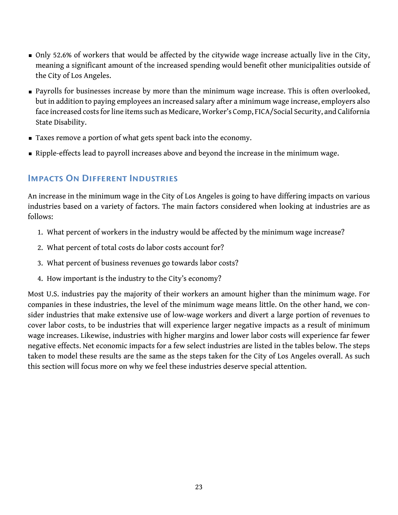- Only 52.6% of workers that would be affected by the citywide wage increase actually live in the City, meaning a significant amount of the increased spending would benefit other municipalities outside of the City of Los Angeles.
- Payrolls for businesses increase by more than the minimum wage increase. This is often overlooked, but in addition to paying employees an increased salary after a minimum wage increase, employers also face increased costs for line items such as Medicare, Worker's Comp, FICA/Social Security, and California State Disability.
- Taxes remove a portion of what gets spent back into the economy.
- **Example-effects lead to payroll increases above and beyond the increase in the minimum wage.**

### Impacts On Different Industries

An increase in the minimum wage in the City of Los Angeles is going to have differing impacts on various industries based on a variety of factors. The main factors considered when looking at industries are as follows:

- 1. What percent of workers in the industry would be affected by the minimum wage increase?
- 2. What percent of total costs do labor costs account for?
- 3. What percent of business revenues go towards labor costs?
- 4. How important is the industry to the City's economy?

Most U.S. industries pay the majority of their workers an amount higher than the minimum wage. For companies in these industries, the level of the minimum wage means little. On the other hand, we consider industries that make extensive use of low-wage workers and divert a large portion of revenues to cover labor costs, to be industries that will experience larger negative impacts as a result of minimum wage increases. Likewise, industries with higher margins and lower labor costs will experience far fewer negative effects. Net economic impacts for a few select industries are listed in the tables below. The steps taken to model these results are the same as the steps taken for the City of Los Angeles overall. As such this section will focus more on why we feel these industries deserve special attention.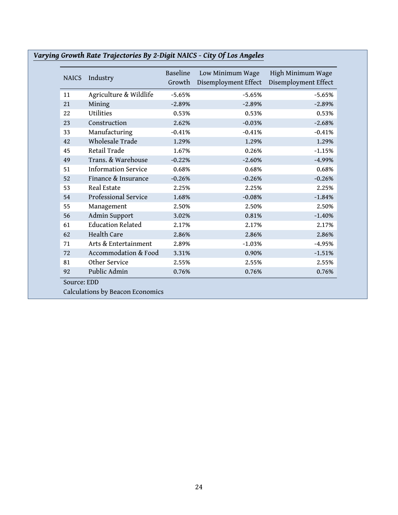| <b>NAICS</b> | Industry                   | Baseline<br>Growth | Low Minimum Wage<br>Disemployment Effect | High Minimum Wage<br>Disemployment Effect |
|--------------|----------------------------|--------------------|------------------------------------------|-------------------------------------------|
| 11           | Agriculture & Wildlife     | $-5.65%$           | $-5.65%$                                 | $-5.65%$                                  |
| 21           | Mining                     | $-2.89%$           | $-2.89%$                                 | $-2.89%$                                  |
| 22           | Utilities                  | 0.53%              | 0.53%                                    | 0.53%                                     |
| 23           | Construction               | 2.62%              | $-0.03%$                                 | $-2.68%$                                  |
| 33           | Manufacturing              | $-0.41%$           | $-0.41%$                                 | $-0.41%$                                  |
| 42           | Wholesale Trade            | 1.29%              | 1.29%                                    | 1.29%                                     |
| 45           | Retail Trade               | 1.67%              | 0.26%                                    | $-1.15%$                                  |
| 49           | Trans. & Warehouse         | $-0.22%$           | $-2.60%$                                 | $-4.99%$                                  |
| 51           | <b>Information Service</b> | 0.68%              | 0.68%                                    | 0.68%                                     |
| 52           | Finance & Insurance        | $-0.26%$           | $-0.26%$                                 | $-0.26%$                                  |
| 53           | Real Estate                | 2.25%              | 2.25%                                    | 2.25%                                     |
| 54           | Professional Service       | 1.68%              | $-0.08%$                                 | $-1.84%$                                  |
| 55           | Management                 | 2.50%              | 2.50%                                    | 2.50%                                     |
| 56           | Admin Support              | 3.02%              | 0.81%                                    | $-1.40%$                                  |
| 61           | <b>Education Related</b>   | 2.17%              | 2.17%                                    | 2.17%                                     |
| 62           | Health Care                | 2.86%              | 2.86%                                    | 2.86%                                     |
| 71           | Arts & Entertainment       | 2.89%              | $-1.03%$                                 | $-4.95%$                                  |
| 72           | Accommodation & Food       | 3.31%              | 0.90%                                    | $-1.51%$                                  |
| 81           | Other Service              | 2.55%              | 2.55%                                    | 2.55%                                     |
| 92           | Public Admin               | 0.76%              | 0.76%                                    | 0.76%                                     |

### *Varying Growth Rate Trajectories By 2-Digit NAICS - City Of Los Angeles*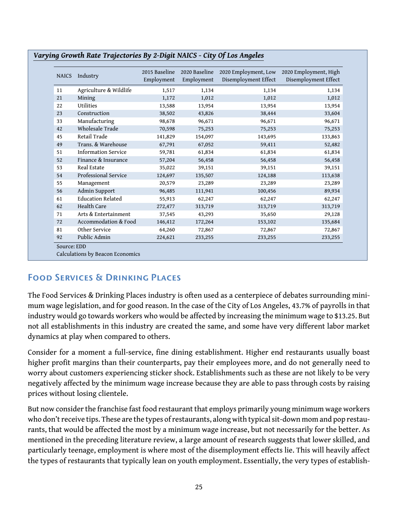| <b>NAICS</b> | Industry                   | 2015 Baseline<br>Employment | 2020 Baseline<br>Employment | 2020 Employment, Low<br>Disemployment Effect | 2020 Employment, High<br>Disemployment Effect |
|--------------|----------------------------|-----------------------------|-----------------------------|----------------------------------------------|-----------------------------------------------|
| 11           | Agriculture & Wildlife     | 1,517                       | 1,134                       | 1,134                                        | 1,134                                         |
| 21           | Mining                     | 1,172                       | 1,012                       | 1,012                                        | 1,012                                         |
| 22           | Utilities                  | 13,588                      | 13,954                      | 13,954                                       | 13,954                                        |
| 23           | Construction               | 38,502                      | 43,826                      | 38,444                                       | 33,604                                        |
| 33           | Manufacturing              | 98,678                      | 96,671                      | 96,671                                       | 96,671                                        |
| 42           | Wholesale Trade            | 70,598                      | 75,253                      | 75,253                                       | 75,253                                        |
| 45           | Retail Trade               | 141,829                     | 154,097                     | 143,695                                      | 133,863                                       |
| 49           | Trans. & Warehouse         | 67,791                      | 67,052                      | 59,411                                       | 52,482                                        |
| 51           | <b>Information Service</b> | 59,781                      | 61,834                      | 61,834                                       | 61,834                                        |
| 52           | Finance & Insurance        | 57,204                      | 56,458                      | 56,458                                       | 56,458                                        |
| 53           | Real Estate                | 35,022                      | 39,151                      | 39,151                                       | 39,151                                        |
| 54           | Professional Service       | 124,697                     | 135,507                     | 124,188                                      | 113,638                                       |
| 55           | Management                 | 20,579                      | 23,289                      | 23,289                                       | 23,289                                        |
| 56           | Admin Support              | 96,485                      | 111,941                     | 100,456                                      | 89,934                                        |
| 61           | <b>Education Related</b>   | 55,913                      | 62,247                      | 62,247                                       | 62,247                                        |
| 62           | Health Care                | 272,477                     | 313,719                     | 313,719                                      | 313,719                                       |
| 71           | Arts & Entertainment       | 37,545                      | 43,293                      | 35,650                                       | 29,128                                        |
| 72           | Accommodation & Food       | 146,412                     | 172,264                     | 153,102                                      | 135,684                                       |
| 81           | Other Service              | 64,260                      | 72,867                      | 72,867                                       | 72,867                                        |
| 92           | Public Admin               | 224,621                     | 233,255                     | 233,255                                      | 233,255                                       |

#### *Varying Growth Rate Trajectories By 2-Digit NAICS - City Of Los Angeles*

### Food Services & Drinking Places

The Food Services & Drinking Places industry is often used as a centerpiece of debates surrounding minimum wage legislation, and for good reason. In the case of the City of Los Angeles, 43.7% of payrolls in that industry would go towards workers who would be affected by increasing the minimum wage to \$13.25. But not all establishments in this industry are created the same, and some have very different labor market dynamics at play when compared to others.

Consider for a moment a full-service, fine dining establishment. Higher end restaurants usually boast higher profit margins than their counterparts, pay their employees more, and do not generally need to worry about customers experiencing sticker shock. Establishments such as these are not likely to be very negatively affected by the minimum wage increase because they are able to pass through costs by raising prices without losing clientele.

But now consider the franchise fast food restaurant that employs primarily young minimum wage workers who don't receive tips. These are the types of restaurants, along with typical sit-down mom and pop restaurants, that would be affected the most by a minimum wage increase, but not necessarily for the better. As mentioned in the preceding literature review, a large amount of research suggests that lower skilled, and particularly teenage, employment is where most of the disemployment effects lie. This will heavily affect the types of restaurants that typically lean on youth employment. Essentially, the very types of establish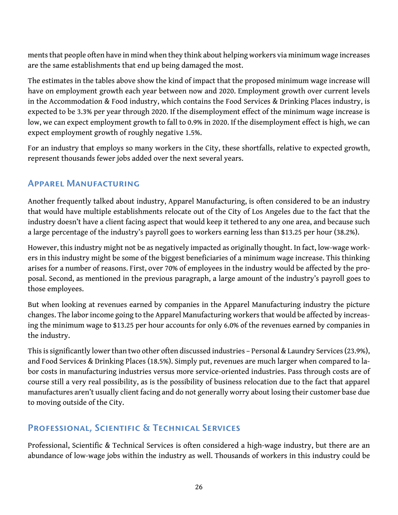ments that people often have in mind when they think about helping workers via minimum wage increases are the same establishments that end up being damaged the most.

The estimates in the tables above show the kind of impact that the proposed minimum wage increase will have on employment growth each year between now and 2020. Employment growth over current levels in the Accommodation & Food industry, which contains the Food Services & Drinking Places industry, is expected to be 3.3% per year through 2020. If the disemployment effect of the minimum wage increase is low, we can expect employment growth to fall to 0.9% in 2020. If the disemployment effect is high, we can expect employment growth of roughly negative 1.5%.

For an industry that employs so many workers in the City, these shortfalls, relative to expected growth, represent thousands fewer jobs added over the next several years.

### Apparel Manufacturing

Another frequently talked about industry, Apparel Manufacturing, is often considered to be an industry that would have multiple establishments relocate out of the City of Los Angeles due to the fact that the industry doesn't have a client facing aspect that would keep it tethered to any one area, and because such a large percentage of the industry's payroll goes to workers earning less than \$13.25 per hour (38.2%).

However, this industry might not be as negatively impacted as originally thought. In fact, low-wage workers in this industry might be some of the biggest beneficiaries of a minimum wage increase. This thinking arises for a number of reasons. First, over 70% of employees in the industry would be affected by the proposal. Second, as mentioned in the previous paragraph, a large amount of the industry's payroll goes to those employees.

But when looking at revenues earned by companies in the Apparel Manufacturing industry the picture changes. The labor income going to the Apparel Manufacturing workers that would be affected by increasing the minimum wage to \$13.25 per hour accounts for only 6.0% of the revenues earned by companies in the industry.

This is significantly lower than two other often discussed industries – Personal & Laundry Services (23.9%), and Food Services & Drinking Places (18.5%). Simply put, revenues are much larger when compared to labor costs in manufacturing industries versus more service-oriented industries. Pass through costs are of course still a very real possibility, as is the possibility of business relocation due to the fact that apparel manufactures aren't usually client facing and do not generally worry about losing their customer base due to moving outside of the City.

### Professional, Scientific & Technical Services

Professional, Scientific & Technical Services is often considered a high-wage industry, but there are an abundance of low-wage jobs within the industry as well. Thousands of workers in this industry could be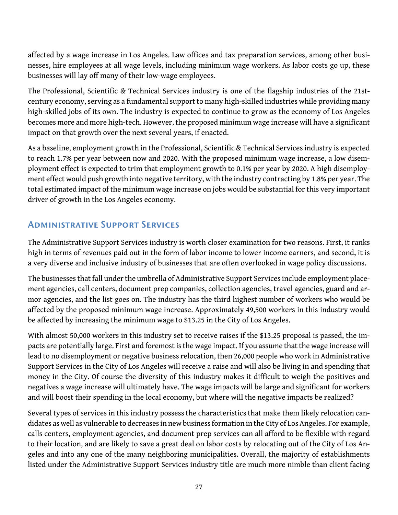affected by a wage increase in Los Angeles. Law offices and tax preparation services, among other businesses, hire employees at all wage levels, including minimum wage workers. As labor costs go up, these businesses will lay off many of their low-wage employees.

The Professional, Scientific & Technical Services industry is one of the flagship industries of the 21stcentury economy, serving as a fundamental support to many high-skilled industries while providing many high-skilled jobs of its own. The industry is expected to continue to grow as the economy of Los Angeles becomes more and more high-tech. However, the proposed minimum wage increase will have a significant impact on that growth over the next several years, if enacted.

As a baseline, employment growth in the Professional, Scientific & Technical Services industry is expected to reach 1.7% per year between now and 2020. With the proposed minimum wage increase, a low disemployment effect is expected to trim that employment growth to 0.1% per year by 2020. A high disemployment effect would push growth into negative territory, with the industry contracting by 1.8% per year. The total estimated impact of the minimum wage increase on jobs would be substantial for this very important driver of growth in the Los Angeles economy.

### Administrative Support Services

The Administrative Support Services industry is worth closer examination for two reasons. First, it ranks high in terms of revenues paid out in the form of labor income to lower income earners, and second, it is a very diverse and inclusive industry of businesses that are often overlooked in wage policy discussions.

The businesses that fall under the umbrella of Administrative Support Services include employment placement agencies, call centers, document prep companies, collection agencies, travel agencies, guard and armor agencies, and the list goes on. The industry has the third highest number of workers who would be affected by the proposed minimum wage increase. Approximately 49,500 workers in this industry would be affected by increasing the minimum wage to \$13.25 in the City of Los Angeles.

With almost 50,000 workers in this industry set to receive raises if the \$13.25 proposal is passed, the impacts are potentially large. First and foremost is the wage impact. If you assume that the wage increase will lead to no disemployment or negative business relocation, then 26,000 people who work in Administrative Support Services in the City of Los Angeles will receive a raise and will also be living in and spending that money in the City. Of course the diversity of this industry makes it difficult to weigh the positives and negatives a wage increase will ultimately have. The wage impacts will be large and significant for workers and will boost their spending in the local economy, but where will the negative impacts be realized?

Several types of services in this industry possess the characteristics that make them likely relocation candidates as well as vulnerable to decreases in new business formation in the City of Los Angeles. For example, calls centers, employment agencies, and document prep services can all afford to be flexible with regard to their location, and are likely to save a great deal on labor costs by relocating out of the City of Los Angeles and into any one of the many neighboring municipalities. Overall, the majority of establishments listed under the Administrative Support Services industry title are much more nimble than client facing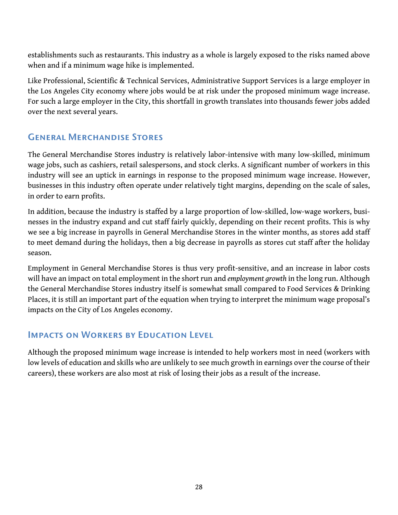establishments such as restaurants. This industry as a whole is largely exposed to the risks named above when and if a minimum wage hike is implemented.

Like Professional, Scientific & Technical Services, Administrative Support Services is a large employer in the Los Angeles City economy where jobs would be at risk under the proposed minimum wage increase. For such a large employer in the City, this shortfall in growth translates into thousands fewer jobs added over the next several years.

### General Merchandise Stores

The General Merchandise Stores industry is relatively labor-intensive with many low-skilled, minimum wage jobs, such as cashiers, retail salespersons, and stock clerks. A significant number of workers in this industry will see an uptick in earnings in response to the proposed minimum wage increase. However, businesses in this industry often operate under relatively tight margins, depending on the scale of sales, in order to earn profits.

In addition, because the industry is staffed by a large proportion of low-skilled, low-wage workers, businesses in the industry expand and cut staff fairly quickly, depending on their recent profits. This is why we see a big increase in payrolls in General Merchandise Stores in the winter months, as stores add staff to meet demand during the holidays, then a big decrease in payrolls as stores cut staff after the holiday season.

Employment in General Merchandise Stores is thus very profit-sensitive, and an increase in labor costs will have an impact on total employment in the short run and *employment growth* in the long run. Although the General Merchandise Stores industry itself is somewhat small compared to Food Services & Drinking Places, it is still an important part of the equation when trying to interpret the minimum wage proposal's impacts on the City of Los Angeles economy.

### Impacts on Workers by Education Level

Although the proposed minimum wage increase is intended to help workers most in need (workers with low levels of education and skills who are unlikely to see much growth in earnings over the course of their careers), these workers are also most at risk of losing their jobs as a result of the increase.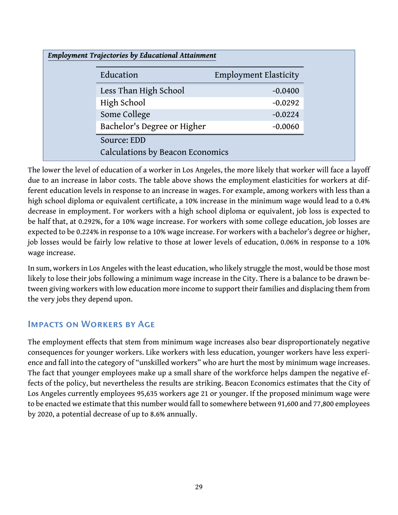| <b>Employment Trajectories by Educational Attainment</b> |                              |
|----------------------------------------------------------|------------------------------|
| Education                                                | <b>Employment Elasticity</b> |
| Less Than High School                                    | $-0.0400$                    |
| High School                                              | $-0.0292$                    |
| Some College                                             | $-0.0224$                    |
| Bachelor's Degree or Higher                              | $-0.0060$                    |
| Source: EDD                                              |                              |
| Calculations by Beacon Economics                         |                              |

The lower the level of education of a worker in Los Angeles, the more likely that worker will face a layoff due to an increase in labor costs. The table above shows the employment elasticities for workers at different education levels in response to an increase in wages. For example, among workers with less than a high school diploma or equivalent certificate, a 10% increase in the minimum wage would lead to a 0.4% decrease in employment. For workers with a high school diploma or equivalent, job loss is expected to be half that, at 0.292%, for a 10% wage increase. For workers with some college education, job losses are expected to be 0.224% in response to a 10% wage increase. For workers with a bachelor's degree or higher, job losses would be fairly low relative to those at lower levels of education, 0.06% in response to a 10% wage increase.

In sum, workers in Los Angeles with the least education, who likely struggle the most, would be those most likely to lose their jobs following a minimum wage increase in the City. There is a balance to be drawn between giving workers with low education more income to support their families and displacing them from the very jobs they depend upon.

### Impacts on Workers by Age

The employment effects that stem from minimum wage increases also bear disproportionately negative consequences for younger workers. Like workers with less education, younger workers have less experience and fall into the category of "unskilled workers" who are hurt the most by minimum wage increases. The fact that younger employees make up a small share of the workforce helps dampen the negative effects of the policy, but nevertheless the results are striking. Beacon Economics estimates that the City of Los Angeles currently employees 95,635 workers age 21 or younger. If the proposed minimum wage were to be enacted we estimate that this number would fall to somewhere between 91,600 and 77,800 employees by 2020, a potential decrease of up to 8.6% annually.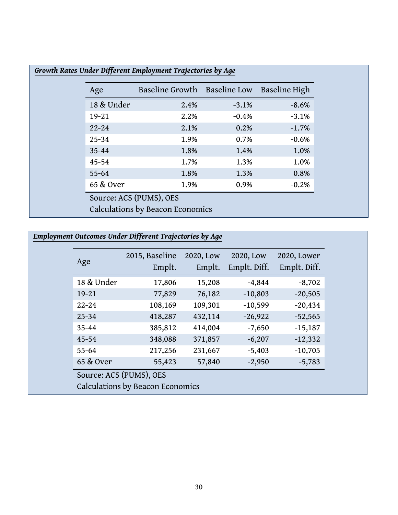| $-8.6%$<br>$-3.1%$<br>$-1.7%$ | 2.4%                             |                         |
|-------------------------------|----------------------------------|-------------------------|
|                               |                                  | 18 & Under              |
|                               | 2.2%                             | $19 - 21$               |
|                               | 2.1%                             | $22 - 24$               |
| $-0.6%$                       | 1.9%                             | $25 - 34$               |
| 1.0%                          | 1.8%                             | $35 - 44$               |
| 1.0%                          | 1.7%                             | $45 - 54$               |
| 0.8%                          | 1.8%                             | $55 - 64$               |
| $-0.2%$                       | 1.9%                             | 65 & Over               |
|                               | Calculations by Beacon Economics | Source: ACS (PUMS), OES |

### *Employment Outcomes Under Different Trajectories by Age*

| Age                                                         | 2015, Baseline<br>Emplt. | 2020, Low<br>Emplt. | 2020, Low<br>Emplt. Diff. | 2020, Lower<br>Emplt. Diff. |
|-------------------------------------------------------------|--------------------------|---------------------|---------------------------|-----------------------------|
| 18 & Under                                                  | 17,806                   | 15,208              | $-4,844$                  | $-8,702$                    |
| $19 - 21$                                                   | 77,829                   | 76,182              | $-10,803$                 | $-20,505$                   |
| $22 - 24$                                                   | 108,169                  | 109,301             | $-10,599$                 | $-20,434$                   |
| $25 - 34$                                                   | 418,287                  | 432,114             | $-26,922$                 | $-52,565$                   |
| $35 - 44$                                                   | 385,812                  | 414,004             | $-7,650$                  | $-15,187$                   |
| $45 - 54$                                                   | 348,088                  | 371,857             | $-6,207$                  | $-12,332$                   |
| $55 - 64$                                                   | 217,256                  | 231,667             | $-5,403$                  | $-10,705$                   |
| 65 & Over                                                   | 55,423                   | 57,840              | $-2,950$                  | $-5,783$                    |
| Source: ACS (PUMS), OES<br>Calculations by Beacon Economics |                          |                     |                           |                             |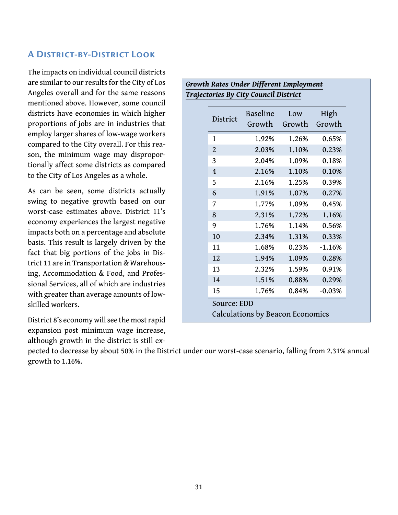### A District-by-District Look

The impacts on individual council districts are similar to our results for the City of Los Angeles overall and for the same reasons mentioned above. However, some council districts have economies in which higher proportions of jobs are in industries that employ larger shares of low-wage workers compared to the City overall. For this reason, the minimum wage may disproportionally affect some districts as compared to the City of Los Angeles as a whole.

As can be seen, some districts actually swing to negative growth based on our worst-case estimates above. District 11's economy experiences the largest negative impacts both on a percentage and absolute basis. This result is largely driven by the fact that big portions of the jobs in District 11 are in Transportation & Warehousing, Accommodation & Food, and Professional Services, all of which are industries with greater than average amounts of lowskilled workers.

District 8's economy will see the most rapid expansion post minimum wage increase, although growth in the district is still ex-

| Trajectories By City Council District |                |                                  |        |          |
|---------------------------------------|----------------|----------------------------------|--------|----------|
|                                       |                | <b>Baseline</b>                  | Low    |          |
|                                       | District       | Growth                           | Growth | Growth   |
|                                       | 1              | 1.92%                            | 1.26%  | 0.65%    |
|                                       | $\overline{2}$ | 2.03%                            | 1.10%  | 0.23%    |
|                                       | 3              | 2.04%                            | 1.09%  | 0.18%    |
|                                       | $\overline{4}$ | 2.16%                            | 1.10%  | 0.10%    |
|                                       | 5              | 2.16%                            | 1.25%  | 0.39%    |
|                                       | 6              | 1.91%                            | 1.07%  | 0.27%    |
|                                       | 7              | 1.77%                            | 1.09%  | 0.45%    |
|                                       | 8              | 2.31%                            | 1.72%  | 1.16%    |
|                                       | 9              | 1.76%                            | 1.14%  | 0.56%    |
|                                       | 10             | 2.34%                            | 1.31%  | 0.33%    |
|                                       | 11             | 1.68%                            | 0.23%  | $-1.16%$ |
|                                       | 12             | 1.94%                            | 1.09%  | 0.28%    |
|                                       | 13             | 2.32%                            | 1.59%  | 0.91%    |
|                                       | 14             | 1.51%                            | 0.88%  | 0.29%    |
|                                       | 15             | 1.76%                            | 0.84%  | $-0.03%$ |
|                                       | Source: EDD    |                                  |        |          |
|                                       |                | Calculations by Beacon Economics |        |          |

*Growth Rates Under Different Employment*

pected to decrease by about 50% in the District under our worst-case scenario, falling from 2.31% annual growth to 1.16%.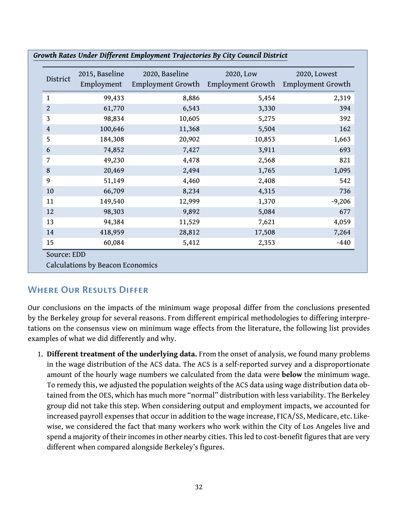| District       | 2015, Baseline<br>Employment | 2020, Baseline<br>Employment Growth | 2020, Low<br>Employment Growth | 2020, Lowest<br><b>Employment Growth</b> |
|----------------|------------------------------|-------------------------------------|--------------------------------|------------------------------------------|
| $\mathbf{1}$   | 99,433                       | 8,886                               | 5,454                          | 2,319                                    |
| $\overline{2}$ | 61,770                       | 6,543                               | 3,330                          | 394                                      |
| 3              | 98,834                       | 10,605                              | 5,275                          | 392                                      |
| $\overline{4}$ | 100,646                      | 11,368                              | 5,504                          | 162                                      |
| 5              | 184,308                      | 20,902                              | 10,853                         | 1,663                                    |
| 6              | 74,852                       | 7,427                               | 3,911                          | 693                                      |
| 7              | 49,230                       | 4,478                               | 2,568                          | 821                                      |
| $\bf 8$        | 20,469                       | 2,494                               | 1,765                          | 1,095                                    |
| 9              | 51,149                       | 4,460                               | 2,408                          | 542                                      |
| 10             | 66,709                       | 8,234                               | 4,315                          | 736                                      |
| 11             | 149,540                      | 12,999                              | 1,370                          | $-9,206$                                 |
| 12             | 98,303                       | 9,892                               | 5,084                          | 677                                      |
| 13             | 94,384                       | 11,529                              | 7,621                          | 4,059                                    |
| 14             | 418,959                      | 28,812                              | 17,508                         | 7,264                                    |
| 15             | 60,084                       | 5,412                               | 2,353                          | $-440$                                   |

*Growth Rates Under Different Employment Trajectories By City Council District*

### Where Our Results Differ

Our conclusions on the impacts of the minimum wage proposal differ from the conclusions presented by the Berkeley group for several reasons. From different empirical methodologies to differing interpretations on the consensus view on minimum wage effects from the literature, the following list provides examples of what we did differently and why.

1. **Different treatment of the underlying data.** From the onset of analysis, we found many problems in the wage distribution of the ACS data. The ACS is a self-reported survey and a disproportionate amount of the hourly wage numbers we calculated from the data were **below** the minimum wage. To remedy this, we adjusted the population weights of the ACS data using wage distribution data obtained from the OES, which has much more "normal" distribution with less variability. The Berkeley group did not take this step. When considering output and employment impacts, we accounted for increased payroll expenses that occur in addition to the wage increase, FICA/SS, Medicare, etc. Likewise, we considered the fact that many workers who work within the City of Los Angeles live and spend a majority of their incomes in other nearby cities. This led to cost-benefit figures that are very different when compared alongside Berkeley's figures.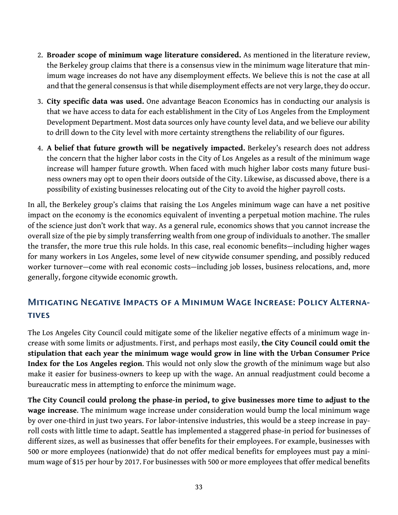- 2. **Broader scope of minimum wage literature considered.** As mentioned in the literature review, the Berkeley group claims that there is a consensus view in the minimum wage literature that minimum wage increases do not have any disemployment effects. We believe this is not the case at all and that the general consensus is that while disemployment effects are not very large, they do occur.
- 3. **City specific data was used.** One advantage Beacon Economics has in conducting our analysis is that we have access to data for each establishment in the City of Los Angeles from the Employment Development Department. Most data sources only have county level data, and we believe our ability to drill down to the City level with more certainty strengthens the reliability of our figures.
- 4. **A belief that future growth will be negatively impacted.** Berkeley's research does not address the concern that the higher labor costs in the City of Los Angeles as a result of the minimum wage increase will hamper future growth. When faced with much higher labor costs many future business owners may opt to open their doors outside of the City. Likewise, as discussed above, there is a possibility of existing businesses relocating out of the City to avoid the higher payroll costs.

In all, the Berkeley group's claims that raising the Los Angeles minimum wage can have a net positive impact on the economy is the economics equivalent of inventing a perpetual motion machine. The rules of the science just don't work that way. As a general rule, economics shows that you cannot increase the overall size of the pie by simply transferring wealth from one group of individuals to another. The smaller the transfer, the more true this rule holds. In this case, real economic benefits—including higher wages for many workers in Los Angeles, some level of new citywide consumer spending, and possibly reduced worker turnover—come with real economic costs—including job losses, business relocations, and, more generally, forgone citywide economic growth.

### <span id="page-35-0"></span>Mitigating Negative Impacts of a Minimum Wage Increase: Policy Alterna-**TIVES**

The Los Angeles City Council could mitigate some of the likelier negative effects of a minimum wage increase with some limits or adjustments. First, and perhaps most easily, **the City Council could omit the stipulation that each year the minimum wage would grow in line with the Urban Consumer Price Index for the Los Angeles region**. This would not only slow the growth of the minimum wage but also make it easier for business-owners to keep up with the wage. An annual readjustment could become a bureaucratic mess in attempting to enforce the minimum wage.

**The City Council could prolong the phase-in period, to give businesses more time to adjust to the wage increase**. The minimum wage increase under consideration would bump the local minimum wage by over one-third in just two years. For labor-intensive industries, this would be a steep increase in payroll costs with little time to adapt. Seattle has implemented a staggered phase-in period for businesses of different sizes, as well as businesses that offer benefits for their employees. For example, businesses with 500 or more employees (nationwide) that do not offer medical benefits for employees must pay a minimum wage of \$15 per hour by 2017. For businesses with 500 or more employees that offer medical benefits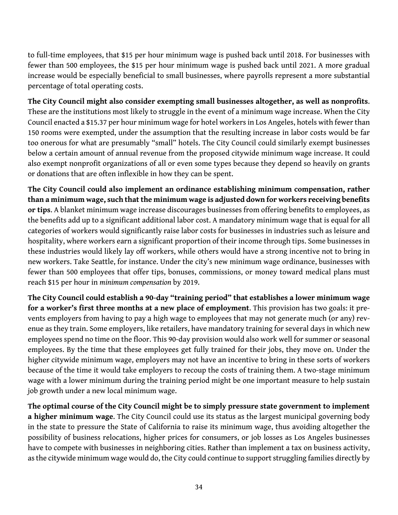to full-time employees, that \$15 per hour minimum wage is pushed back until 2018. For businesses with fewer than 500 employees, the \$15 per hour minimum wage is pushed back until 2021. A more gradual increase would be especially beneficial to small businesses, where payrolls represent a more substantial percentage of total operating costs.

**The City Council might also consider exempting small businesses altogether, as well as nonprofits**. These are the institutions most likely to struggle in the event of a minimum wage increase. When the City Council enacted a \$15.37 per hour minimum wage for hotel workers in Los Angeles, hotels with fewer than 150 rooms were exempted, under the assumption that the resulting increase in labor costs would be far too onerous for what are presumably "small" hotels. The City Council could similarly exempt businesses below a certain amount of annual revenue from the proposed citywide minimum wage increase. It could also exempt nonprofit organizations of all or even some types because they depend so heavily on grants or donations that are often inflexible in how they can be spent.

**The City Council could also implement an ordinance establishing minimum compensation, rather than a minimum wage, such that the minimum wage is adjusted down for workers receiving benefits or tips**. A blanket minimum wage increase discourages businesses from offering benefits to employees, as the benefits add up to a significant additional labor cost. A mandatory minimum wage that is equal for all categories of workers would significantly raise labor costs for businesses in industries such as leisure and hospitality, where workers earn a significant proportion of their income through tips. Some businesses in these industries would likely lay off workers, while others would have a strong incentive not to bring in new workers. Take Seattle, for instance. Under the city's new minimum wage ordinance, businesses with fewer than 500 employees that offer tips, bonuses, commissions, or money toward medical plans must reach \$15 per hour in *minimum compensation* by 2019.

**The City Council could establish a 90-day "training period" that establishes a lower minimum wage for a worker's first three months at a new place of employment**. This provision has two goals: it prevents employers from having to pay a high wage to employees that may not generate much (or any) revenue as they train. Some employers, like retailers, have mandatory training for several days in which new employees spend no time on the floor. This 90-day provision would also work well for summer or seasonal employees. By the time that these employees get fully trained for their jobs, they move on. Under the higher citywide minimum wage, employers may not have an incentive to bring in these sorts of workers because of the time it would take employers to recoup the costs of training them. A two-stage minimum wage with a lower minimum during the training period might be one important measure to help sustain job growth under a new local minimum wage.

**The optimal course of the City Council might be to simply pressure state government to implement a higher minimum wage**. The City Council could use its status as the largest municipal governing body in the state to pressure the State of California to raise its minimum wage, thus avoiding altogether the possibility of business relocations, higher prices for consumers, or job losses as Los Angeles businesses have to compete with businesses in neighboring cities. Rather than implement a tax on business activity, as the citywide minimum wage would do, the City could continue to support struggling families directly by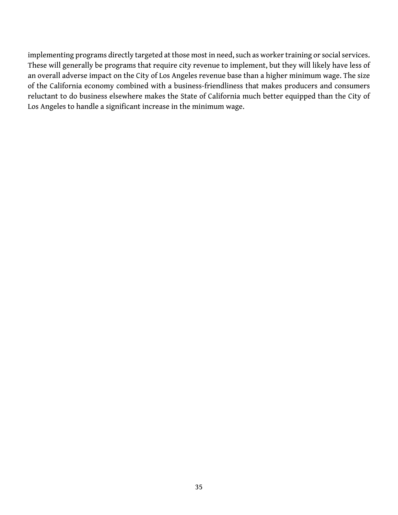implementing programs directly targeted at those most in need, such as worker training or social services. These will generally be programs that require city revenue to implement, but they will likely have less of an overall adverse impact on the City of Los Angeles revenue base than a higher minimum wage. The size of the California economy combined with a business-friendliness that makes producers and consumers reluctant to do business elsewhere makes the State of California much better equipped than the City of Los Angeles to handle a significant increase in the minimum wage.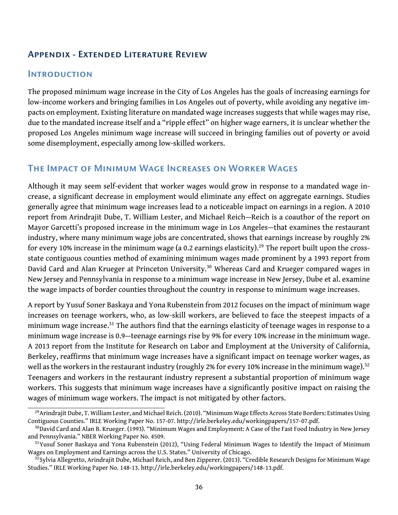### <span id="page-38-0"></span>Appendix - Extended Literature Review

#### **INTRODUCTION**

The proposed minimum wage increase in the City of Los Angeles has the goals of increasing earnings for low-income workers and bringing families in Los Angeles out of poverty, while avoiding any negative impacts on employment. Existing literature on mandated wage increases suggests that while wages may rise, due to the mandated increase itself and a "ripple effect" on higher wage earners, it is unclear whether the proposed Los Angeles minimum wage increase will succeed in bringing families out of poverty or avoid some disemployment, especially among low-skilled workers.

### The Impact of Minimum Wage Increases on Worker Wages

Although it may seem self-evident that worker wages would grow in response to a mandated wage increase, a significant decrease in employment would eliminate any effect on aggregate earnings. Studies generally agree that minimum wage increases lead to a noticeable impact on earnings in a region. A 2010 report from Arindrajit Dube, T. William Lester, and Michael Reich—Reich is a coauthor of the report on Mayor Garcetti's proposed increase in the minimum wage in Los Angeles—that examines the restaurant industry, where many minimum wage jobs are concentrated, shows that earnings increase by roughly 2% for every 10% increase in the minimum wage (a 0.2 earnings elasticity).<sup>[29](#page-38-1)</sup> The report built upon the crossstate contiguous counties method of examining minimum wages made prominent by a 1993 report from David Card and Alan Krueger at Princeton University.<sup>[30](#page-38-2)</sup> Whereas Card and Krueger compared wages in New Jersey and Pennsylvania in response to a minimum wage increase in New Jersey, Dube et al. examine the wage impacts of border counties throughout the country in response to minimum wage increases.

A report by Yusuf Soner Baskaya and Yona Rubenstein from 2012 focuses on the impact of minimum wage increases on teenage workers, who, as low-skill workers, are believed to face the steepest impacts of a minimum wage increase.<sup>[31](#page-38-3)</sup> The authors find that the earnings elasticity of teenage wages in response to a minimum wage increase is 0.9—teenage earnings rise by 9% for every 10% increase in the minimum wage. A 2013 report from the Institute for Research on Labor and Employment at the University of California, Berkeley, reaffirms that minimum wage increases have a significant impact on teenage worker wages, as well as the workers in the restaurant industry (roughly 2% for every 10% increase in the minimum wage).<sup>[32](#page-38-4)</sup> Teenagers and workers in the restaurant industry represent a substantial proportion of minimum wage workers. This suggests that minimum wage increases have a significantly positive impact on raising the wages of minimum wage workers. The impact is not mitigated by other factors.

<span id="page-38-1"></span><sup>&</sup>lt;sup>29</sup> Arindrajit Dube, T. William Lester, and Michael Reich. (2010). "Minimum Wage Effects Across State Borders: Estimates Using Contiguous Counties." IRLE Working Paper No. 157-07. [http://irle.berkeley.edu/workingpapers/157-07.pdf.](http://irle.berkeley.edu/workingpapers/157-07.pdf)

<span id="page-38-2"></span><sup>&</sup>lt;sup>30</sup>David Card and Alan B. Krueger. (1993). "Minimum Wages and Employment: A Case of the Fast Food Industry in New Jersey and Pennsylvania." NBER Working Paper No. 4509.

<span id="page-38-3"></span><sup>&</sup>lt;sup>31</sup>Yusuf Soner Baskaya and Yona Rubenstein (2012), "Using Federal Minimum Wages to Identify the Impact of Minimum Wages on Employment and Earnings across the U.S. States." University of Chicago.

<span id="page-38-4"></span> $3^{2}$ Sylvia Allegretto, Arindrajit Dube, Michael Reich, and Ben Zipperer. (2013). "Credible Research Designs for Minimum Wage Studies." IRLE Working Paper No. 148-13. <http://irle.berkeley.edu/workingpapers/148-13.pdf>.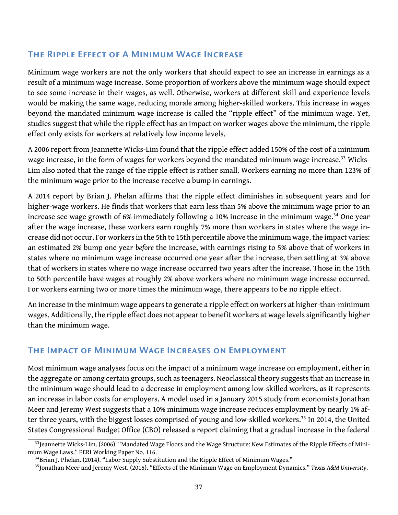### The Ripple Effect of A Minimum Wage Increase

Minimum wage workers are not the only workers that should expect to see an increase in earnings as a result of a minimum wage increase. Some proportion of workers above the minimum wage should expect to see some increase in their wages, as well. Otherwise, workers at different skill and experience levels would be making the same wage, reducing morale among higher-skilled workers. This increase in wages beyond the mandated minimum wage increase is called the "ripple effect" of the minimum wage. Yet, studies suggest that while the ripple effect has an impact on worker wages above the minimum, the ripple effect only exists for workers at relatively low income levels.

A 2006 report from Jeannette Wicks-Lim found that the ripple effect added 150% of the cost of a minimum wage increase, in the form of wages for workers beyond the mandated minimum wage increase.<sup>[33](#page-39-0)</sup> Wicks-Lim also noted that the range of the ripple effect is rather small. Workers earning no more than 123% of the minimum wage prior to the increase receive a bump in earnings.

A 2014 report by Brian J. Phelan affirms that the ripple effect diminishes in subsequent years and for higher-wage workers. He finds that workers that earn less than 5% above the minimum wage prior to an increase see wage growth of 6% immediately following a 10% increase in the minimum wage.<sup>[34](#page-39-1)</sup> One year after the wage increase, these workers earn roughly 7% more than workers in states where the wage increase did not occur. For workers in the 5th to 15th percentile above the minimum wage, the impact varies: an estimated 2% bump one year *before* the increase, with earnings rising to 5% above that of workers in states where no minimum wage increase occurred one year after the increase, then settling at 3% above that of workers in states where no wage increase occurred two years after the increase. Those in the 15th to 50th percentile have wages at roughly 2% above workers where no minimum wage increase occurred. For workers earning two or more times the minimum wage, there appears to be no ripple effect.

An increase in the minimum wage appears to generate a ripple effect on workers at higher-than-minimum wages. Additionally, the ripple effect does not appear to benefit workers at wage levels significantly higher than the minimum wage.

### The Impact of Minimum Wage Increases on Employment

Most minimum wage analyses focus on the impact of a minimum wage increase on employment, either in the aggregate or among certain groups, such as teenagers. Neoclassical theory suggests that an increase in the minimum wage should lead to a decrease in employment among low-skilled workers, as it represents an increase in labor costs for employers. A model used in a January 2015 study from economists Jonathan Meer and Jeremy West suggests that a 10% minimum wage increase reduces employment by nearly 1% af-ter three years, with the biggest losses comprised of young and low-skilled workers.<sup>[35](#page-39-2)</sup> In 2014, the United States Congressional Budget Office (CBO) released a report claiming that a gradual increase in the federal

<span id="page-39-0"></span> $33$ Jeannette Wicks-Lim. (2006). "Mandated Wage Floors and the Wage Structure: New Estimates of the Ripple Effects of Minimum Wage Laws." PERI Working Paper No. 116.

<span id="page-39-1"></span><sup>&</sup>lt;sup>34</sup>Brian J. Phelan. (2014). "Labor Supply Substitution and the Ripple Effect of Minimum Wages."

<span id="page-39-2"></span><sup>35</sup>Jonathan Meer and Jeremy West. (2015). "Effects of the Minimum Wage on Employment Dynamics." *Texas A&M University*.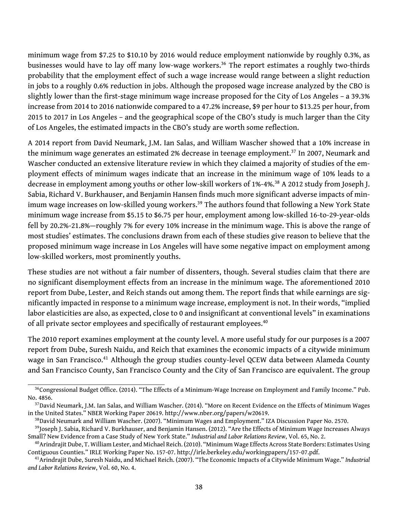minimum wage from \$7.25 to \$10.10 by 2016 would reduce employment nationwide by roughly 0.3%, as businesses would have to lay off many low-wage workers.<sup>[36](#page-40-0)</sup> The report estimates a roughly two-thirds probability that the employment effect of such a wage increase would range between a slight reduction in jobs to a roughly 0.6% reduction in jobs. Although the proposed wage increase analyzed by the CBO is slightly lower than the first-stage minimum wage increase proposed for the City of Los Angeles – a 39.3% increase from 2014 to 2016 nationwide compared to a 47.2% increase, \$9 per hour to \$13.25 per hour, from 2015 to 2017 in Los Angeles – and the geographical scope of the CBO's study is much larger than the City of Los Angeles, the estimated impacts in the CBO's study are worth some reflection.

A 2014 report from David Neumark, J.M. Ian Salas, and William Wascher showed that a 10% increase in the minimum wage generates an estimated 2% decrease in teenage employment.<sup>[37](#page-40-1)</sup> In 2007, Neumark and Wascher conducted an extensive literature review in which they claimed a majority of studies of the employment effects of minimum wages indicate that an increase in the minimum wage of 10% leads to a decrease in employment among youths or other low-skill workers of 1%-4%.<sup>[38](#page-40-2)</sup> A 2012 study from Joseph J. Sabia, Richard V. Burkhauser, and Benjamin Hansen finds much more significant adverse impacts of min-imum wage increases on low-skilled young workers.<sup>[39](#page-40-3)</sup> The authors found that following a New York State minimum wage increase from \$5.15 to \$6.75 per hour, employment among low-skilled 16-to-29-year-olds fell by 20.2%-21.8%—roughly 7% for every 10% increase in the minimum wage. This is above the range of most studies' estimates. The conclusions drawn from each of these studies give reason to believe that the proposed minimum wage increase in Los Angeles will have some negative impact on employment among low-skilled workers, most prominently youths.

These studies are not without a fair number of dissenters, though. Several studies claim that there are no significant disemployment effects from an increase in the minimum wage. The aforementioned 2010 report from Dube, Lester, and Reich stands out among them. The report finds that while earnings are significantly impacted in response to a minimum wage increase, employment is not. In their words, "implied labor elasticities are also, as expected, close to 0 and insignificant at conventional levels" in examinations of all private sector employees and specifically of restaurant employees.<sup>[40](#page-40-4)</sup>

The 2010 report examines employment at the county level. A more useful study for our purposes is a 2007 report from Dube, Suresh Naidu, and Reich that examines the economic impacts of a citywide minimum wage in San Francisco.<sup>[41](#page-40-5)</sup> Although the group studies county-level QCEW data between Alameda County and San Francisco County, San Francisco County and the City of San Francisco are equivalent. The group

<span id="page-40-0"></span><sup>&</sup>lt;sup>36</sup>Congressional Budget Office. (2014). "The Effects of a Minimum-Wage Increase on Employment and Family Income." Pub. No. 4856.

<span id="page-40-1"></span><sup>&</sup>lt;sup>37</sup>David Neumark, J.M. Ian Salas, and William Wascher. (2014). "More on Recent Evidence on the Effects of Minimum Wages in the United States." NBER Working Paper 20619. [http://www.nber.org/papers/w20619.](http://www.nber.org/papers/w20619)

<span id="page-40-3"></span><span id="page-40-2"></span><sup>38</sup>David Neumark and William Wascher. (2007). "Minimum Wages and Employment." IZA Discussion Paper No. 2570.

<sup>&</sup>lt;sup>39</sup>Joseph J. Sabia, Richard V. Burkhauser, and Benjamin Hansen. (2012). "Are the Effects of Minimum Wage Increases Always Small? New Evidence from a Case Study of New York State." *Industrial and Labor Relations Review*, Vol. 65, No. 2.

<span id="page-40-4"></span><sup>40</sup>Arindrajit Dube, T. William Lester, and Michael Reich. (2010). "Minimum Wage Effects Across State Borders: Estimates Using Contiguous Counties." IRLE Working Paper No. 157-07. [http://irle.berkeley.edu/workingpapers/157-07.pdf.](http://irle.berkeley.edu/workingpapers/157-07.pdf)

<span id="page-40-5"></span><sup>41</sup>Arindrajit Dube, Suresh Naidu, and Michael Reich. (2007). "The Economic Impacts of a Citywide Minimum Wage." *Industrial and Labor Relations Review*, Vol. 60, No. 4.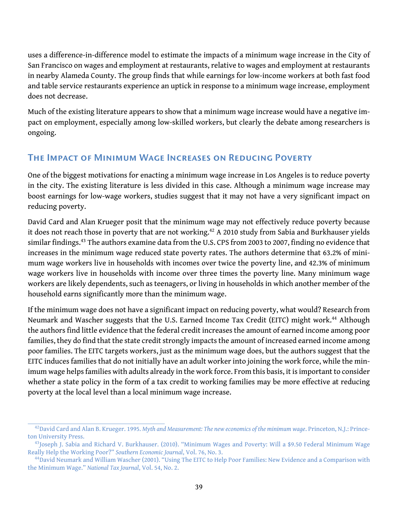uses a difference-in-difference model to estimate the impacts of a minimum wage increase in the City of San Francisco on wages and employment at restaurants, relative to wages and employment at restaurants in nearby Alameda County. The group finds that while earnings for low-income workers at both fast food and table service restaurants experience an uptick in response to a minimum wage increase, employment does not decrease.

Much of the existing literature appears to show that a minimum wage increase would have a negative impact on employment, especially among low-skilled workers, but clearly the debate among researchers is ongoing.

### The Impact of Minimum Wage Increases on Reducing Poverty

One of the biggest motivations for enacting a minimum wage increase in Los Angeles is to reduce poverty in the city. The existing literature is less divided in this case. Although a minimum wage increase may boost earnings for low-wage workers, studies suggest that it may not have a very significant impact on reducing poverty.

David Card and Alan Krueger posit that the minimum wage may not effectively reduce poverty because it does not reach those in poverty that are not working.<sup>[42](#page-41-0)</sup> A 2010 study from Sabia and Burkhauser yields similar findings.<sup>[43](#page-41-1)</sup> The authors examine data from the U.S. CPS from 2003 to 2007, finding no evidence that increases in the minimum wage reduced state poverty rates. The authors determine that 63.2% of minimum wage workers live in households with incomes over twice the poverty line, and 42.3% of minimum wage workers live in households with income over three times the poverty line. Many minimum wage workers are likely dependents, such as teenagers, or living in households in which another member of the household earns significantly more than the minimum wage.

If the minimum wage does not have a significant impact on reducing poverty, what would? Research from Neumark and Wascher suggests that the U.S. Earned Income Tax Credit (EITC) might work.<sup>[44](#page-41-2)</sup> Although the authors find little evidence that the federal credit increases the amount of earned income among poor families, they do find that the state credit strongly impacts the amount of increased earned income among poor families. The EITC targets workers, just as the minimum wage does, but the authors suggest that the EITC induces families that do not initially have an adult worker into joining the work force, while the minimum wage helps families with adults already in the work force. From this basis, it is important to consider whether a state policy in the form of a tax credit to working families may be more effective at reducing poverty at the local level than a local minimum wage increase.

<span id="page-41-0"></span><sup>42</sup>David Card and Alan B. Krueger. 1995. *Myth and Measurement: The new economics of the minimum wage*. Princeton, N.J.: Princeton University Press.

<span id="page-41-1"></span><sup>&</sup>lt;sup>43</sup>Joseph J. Sabia and Richard V. Burkhauser. (2010). "Minimum Wages and Poverty: Will a \$9.50 Federal Minimum Wage Really Help the Working Poor?" *Southern Economic Journal*, Vol. 76, No. 3.

<span id="page-41-2"></span><sup>44</sup>David Neumark and William Wascher (2001). "Using The EITC to Help Poor Families: New Evidence and a Comparison with the Minimum Wage." *National Tax Journal*, Vol. 54, No. 2.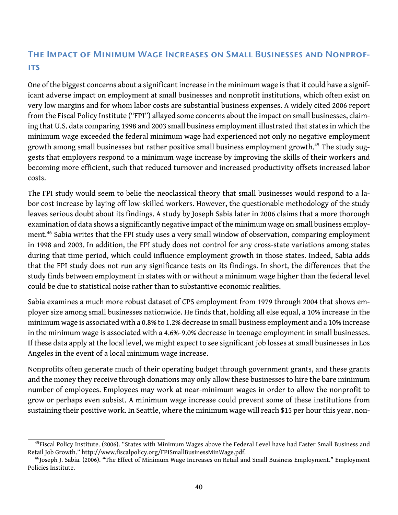### The Impact of Minimum Wage Increases on Small Businesses and Nonprofits

One of the biggest concerns about a significant increase in the minimum wage is that it could have a significant adverse impact on employment at small businesses and nonprofit institutions, which often exist on very low margins and for whom labor costs are substantial business expenses. A widely cited 2006 report from the Fiscal Policy Institute ("FPI") allayed some concerns about the impact on small businesses, claiming that U.S. data comparing 1998 and 2003 small business employment illustrated that states in which the minimum wage exceeded the federal minimum wage had experienced not only no negative employment growth among small businesses but rather positive small business employment growth.<sup>[45](#page-42-0)</sup> The study suggests that employers respond to a minimum wage increase by improving the skills of their workers and becoming more efficient, such that reduced turnover and increased productivity offsets increased labor costs.

The FPI study would seem to belie the neoclassical theory that small businesses would respond to a labor cost increase by laying off low-skilled workers. However, the questionable methodology of the study leaves serious doubt about its findings. A study by Joseph Sabia later in 2006 claims that a more thorough examination of data shows a significantly negative impact of the minimum wage on small business employ-ment.<sup>[46](#page-42-1)</sup> Sabia writes that the FPI study uses a very small window of observation, comparing employment in 1998 and 2003. In addition, the FPI study does not control for any cross-state variations among states during that time period, which could influence employment growth in those states. Indeed, Sabia adds that the FPI study does not run any significance tests on its findings. In short, the differences that the study finds between employment in states with or without a minimum wage higher than the federal level could be due to statistical noise rather than to substantive economic realities.

Sabia examines a much more robust dataset of CPS employment from 1979 through 2004 that shows employer size among small businesses nationwide. He finds that, holding all else equal, a 10% increase in the minimum wage is associated with a 0.8% to 1.2% decrease in small business employment and a 10% increase in the minimum wage is associated with a 4.6%-9.0% decrease in teenage employment in small businesses. If these data apply at the local level, we might expect to see significant job losses at small businesses in Los Angeles in the event of a local minimum wage increase.

Nonprofits often generate much of their operating budget through government grants, and these grants and the money they receive through donations may only allow these businesses to hire the bare minimum number of employees. Employees may work at near-minimum wages in order to allow the nonprofit to grow or perhaps even subsist. A minimum wage increase could prevent some of these institutions from sustaining their positive work. In Seattle, where the minimum wage will reach \$15 per hour this year, non-

<span id="page-42-0"></span> $45$ Fiscal Policy Institute. (2006). "States with Minimum Wages above the Federal Level have had Faster Small Business and Retail Job Growth." [http://www.fiscalpolicy.org/FPISmallBusinessMinWage.pdf.](http://www.fiscalpolicy.org/FPISmallBusinessMinWage.pdf)

<span id="page-42-1"></span><sup>&</sup>lt;sup>46</sup>Joseph J. Sabia. (2006). "The Effect of Minimum Wage Increases on Retail and Small Business Employment." Employment Policies Institute.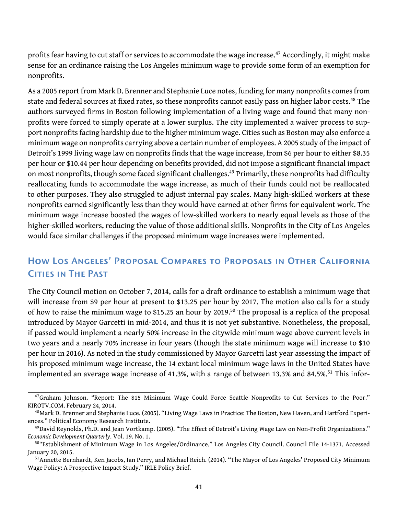profits fear having to cut staff or services to accommodate the wage increase.<sup>[47](#page-43-0)</sup> Accordingly, it might make sense for an ordinance raising the Los Angeles minimum wage to provide some form of an exemption for nonprofits.

As a 2005 report from Mark D. Brenner and Stephanie Luce notes, funding for many nonprofits comes from state and federal sources at fixed rates, so these nonprofits cannot easily pass on higher labor costs.<sup>[48](#page-43-1)</sup> The authors surveyed firms in Boston following implementation of a living wage and found that many nonprofits were forced to simply operate at a lower surplus. The city implemented a waiver process to support nonprofits facing hardship due to the higher minimum wage. Cities such as Boston may also enforce a minimum wage on nonprofits carrying above a certain number of employees. A 2005 study of the impact of Detroit's 1999 living wage law on nonprofits finds that the wage increase, from \$6 per hour to either \$8.35 per hour or \$10.44 per hour depending on benefits provided, did not impose a significant financial impact on most nonprofits, though some faced significant challenges.<sup>[49](#page-43-2)</sup> Primarily, these nonprofits had difficulty reallocating funds to accommodate the wage increase, as much of their funds could not be reallocated to other purposes. They also struggled to adjust internal pay scales. Many high-skilled workers at these nonprofits earned significantly less than they would have earned at other firms for equivalent work. The minimum wage increase boosted the wages of low-skilled workers to nearly equal levels as those of the higher-skilled workers, reducing the value of those additional skills. Nonprofits in the City of Los Angeles would face similar challenges if the proposed minimum wage increases were implemented.

### How Los Angeles' Proposal Compares to Proposals in Other California Cities in The Past

The City Council motion on October 7, 2014, calls for a draft ordinance to establish a minimum wage that will increase from \$9 per hour at present to \$13.25 per hour by 2017. The motion also calls for a study of how to raise the minimum wage to \$15.25 an hour by 2019.[50](#page-43-3) The proposal is a replica of the proposal introduced by Mayor Garcetti in mid-2014, and thus it is not yet substantive. Nonetheless, the proposal, if passed would implement a nearly 50% increase in the citywide minimum wage above current levels in two years and a nearly 70% increase in four years (though the state minimum wage will increase to \$10 per hour in 2016). As noted in the study commissioned by Mayor Garcetti last year assessing the impact of his proposed minimum wage increase, the 14 extant local minimum wage laws in the United States have implemented an average wage increase of 41.3%, with a range of between 13.3% and 84.5%.<sup>[51](#page-43-4)</sup> This infor-

<span id="page-43-0"></span> $47$ Graham Johnson. "Report: The \$15 Minimum Wage Could Force Seattle Nonprofits to Cut Services to the Poor." KIROTV.COM. February 24, 2014.

<span id="page-43-1"></span><sup>&</sup>lt;sup>48</sup> Mark D. Brenner and Stephanie Luce. (2005). "Living Wage Laws in Practice: The Boston, New Haven, and Hartford Experiences." Political Economy Research Institute.

<span id="page-43-2"></span><sup>49</sup> David Reynolds, Ph.D. and Jean Vortkamp. (2005). "The Effect of Detroit's Living Wage Law on Non-Profit Organizations." *Economic Development Quarterly*. Vol. 19. No. 1.

<span id="page-43-3"></span><sup>50</sup>"Establishment of Minimum Wage in Los Angeles/Ordinance." Los Angeles City Council. Council File 14-1371. Accessed January 20, 2015.

<span id="page-43-4"></span><sup>&</sup>lt;sup>51</sup> Annette Bernhardt, Ken Jacobs, Ian Perry, and Michael Reich. (2014). "The Mayor of Los Angeles' Proposed City Minimum Wage Policy: A Prospective Impact Study." IRLE Policy Brief.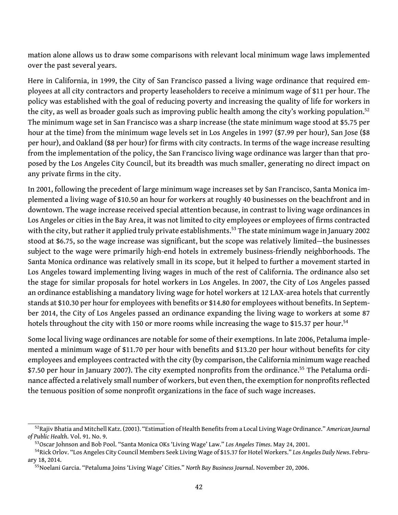mation alone allows us to draw some comparisons with relevant local minimum wage laws implemented over the past several years.

Here in California, in 1999, the City of San Francisco passed a living wage ordinance that required employees at all city contractors and property leaseholders to receive a minimum wage of \$11 per hour. The policy was established with the goal of reducing poverty and increasing the quality of life for workers in the city, as well as broader goals such as improving public health among the city's working population.<sup>[52](#page-44-0)</sup> The minimum wage set in San Francisco was a sharp increase (the state minimum wage stood at \$5.75 per hour at the time) from the minimum wage levels set in Los Angeles in 1997 (\$7.99 per hour), San Jose (\$8 per hour), and Oakland (\$8 per hour) for firms with city contracts. In terms of the wage increase resulting from the implementation of the policy, the San Francisco living wage ordinance was larger than that proposed by the Los Angeles City Council, but its breadth was much smaller, generating no direct impact on any private firms in the city.

In 2001, following the precedent of large minimum wage increases set by San Francisco, Santa Monica implemented a living wage of \$10.50 an hour for workers at roughly 40 businesses on the beachfront and in downtown. The wage increase received special attention because, in contrast to living wage ordinances in Los Angeles or cities in the Bay Area, it was not limited to city employees or employees of firms contracted with the city, but rather it applied truly private establishments.<sup>[53](#page-44-1)</sup> The state minimum wage in January 2002 stood at \$6.75, so the wage increase was significant, but the scope was relatively limited—the businesses subject to the wage were primarily high-end hotels in extremely business-friendly neighborhoods. The Santa Monica ordinance was relatively small in its scope, but it helped to further a movement started in Los Angeles toward implementing living wages in much of the rest of California. The ordinance also set the stage for similar proposals for hotel workers in Los Angeles. In 2007, the City of Los Angeles passed an ordinance establishing a mandatory living wage for hotel workers at 12 LAX-area hotels that currently stands at \$10.30 per hour for employees with benefits or \$14.80 for employees without benefits. In September 2014, the City of Los Angeles passed an ordinance expanding the living wage to workers at some 87 hotels throughout the city with 150 or more rooms while increasing the wage to \$15.37 per hour.<sup>[54](#page-44-2)</sup>

Some local living wage ordinances are notable for some of their exemptions. In late 2006, Petaluma implemented a minimum wage of \$11.70 per hour with benefits and \$13.20 per hour without benefits for city employees and employees contracted with the city (by comparison, the California minimum wage reached \$7.50 per hour in January 2007). The city exempted nonprofits from the ordinance.<sup>[55](#page-44-3)</sup> The Petaluma ordinance affected a relatively small number of workers, but even then, the exemption for nonprofits reflected the tenuous position of some nonprofit organizations in the face of such wage increases.

<span id="page-44-0"></span><sup>52</sup>Rajiv Bhatia and Mitchell Katz. (2001). "Estimation of Health Benefits from a Local Living Wage Ordinance." *American Journal of Public Health*. Vol. 91. No. 9.

<span id="page-44-2"></span><span id="page-44-1"></span><sup>53</sup>Oscar Johnson and Bob Pool. "Santa Monica OKs 'Living Wage' Law." *Los Angeles Times*. May 24, 2001.

<sup>54</sup>Rick Orlov. "Los Angeles City Council Members Seek Living Wage of \$15.37 for Hotel Workers." *Los Angeles Daily News*. February 18, 2014.

<span id="page-44-3"></span><sup>55</sup>Noelani Garcia. "Petaluma Joins 'Living Wage' Cities." *North Bay Business Journal*. November 20, 2006.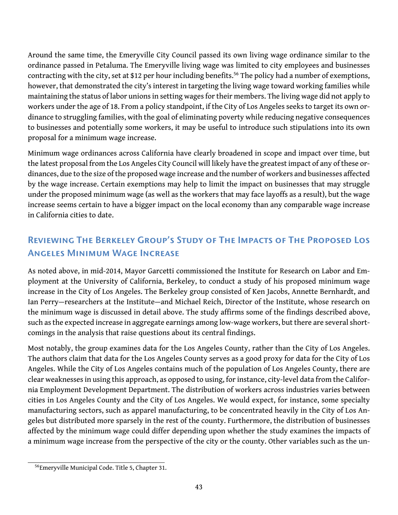Around the same time, the Emeryville City Council passed its own living wage ordinance similar to the ordinance passed in Petaluma. The Emeryville living wage was limited to city employees and businesses contracting with the city, set at \$12 per hour including benefits.<sup>[56](#page-45-0)</sup> The policy had a number of exemptions, however, that demonstrated the city's interest in targeting the living wage toward working families while maintaining the status of labor unions in setting wages for their members. The living wage did not apply to workers under the age of 18. From a policy standpoint, if the City of Los Angeles seeks to target its own ordinance to struggling families, with the goal of eliminating poverty while reducing negative consequences to businesses and potentially some workers, it may be useful to introduce such stipulations into its own proposal for a minimum wage increase.

Minimum wage ordinances across California have clearly broadened in scope and impact over time, but the latest proposal from the Los Angeles City Council will likely have the greatest impact of any of these ordinances, due to the size of the proposed wage increase and the number of workers and businesses affected by the wage increase. Certain exemptions may help to limit the impact on businesses that may struggle under the proposed minimum wage (as well as the workers that may face layoffs as a result), but the wage increase seems certain to have a bigger impact on the local economy than any comparable wage increase in California cities to date.

### Reviewing The Berkeley Group's Study of The Impacts of The Proposed Los Angeles Minimum Wage Increase

As noted above, in mid-2014, Mayor Garcetti commissioned the Institute for Research on Labor and Employment at the University of California, Berkeley, to conduct a study of his proposed minimum wage increase in the City of Los Angeles. The Berkeley group consisted of Ken Jacobs, Annette Bernhardt, and Ian Perry—researchers at the Institute—and Michael Reich, Director of the Institute, whose research on the minimum wage is discussed in detail above. The study affirms some of the findings described above, such as the expected increase in aggregate earnings among low-wage workers, but there are several shortcomings in the analysis that raise questions about its central findings.

Most notably, the group examines data for the Los Angeles County, rather than the City of Los Angeles. The authors claim that data for the Los Angeles County serves as a good proxy for data for the City of Los Angeles. While the City of Los Angeles contains much of the population of Los Angeles County, there are clear weaknesses in using this approach, as opposed to using, for instance, city-level data from the California Employment Development Department. The distribution of workers across industries varies between cities in Los Angeles County and the City of Los Angeles. We would expect, for instance, some specialty manufacturing sectors, such as apparel manufacturing, to be concentrated heavily in the City of Los Angeles but distributed more sparsely in the rest of the county. Furthermore, the distribution of businesses affected by the minimum wage could differ depending upon whether the study examines the impacts of a minimum wage increase from the perspective of the city or the county. Other variables such as the un-

<span id="page-45-0"></span><sup>56</sup>Emeryville Municipal Code. Title 5, Chapter 31.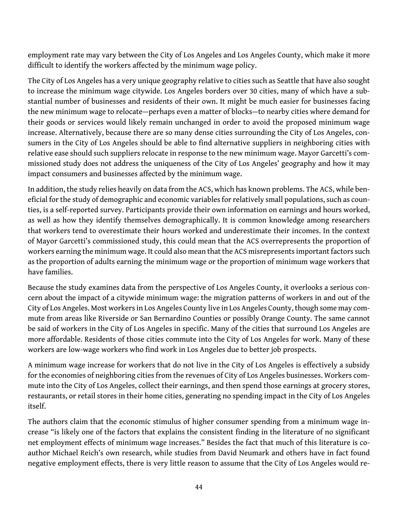employment rate may vary between the City of Los Angeles and Los Angeles County, which make it more difficult to identify the workers affected by the minimum wage policy.

The City of Los Angeles has a very unique geography relative to cities such as Seattle that have also sought to increase the minimum wage citywide. Los Angeles borders over 30 cities, many of which have a substantial number of businesses and residents of their own. It might be much easier for businesses facing the new minimum wage to relocate—perhaps even a matter of blocks—to nearby cities where demand for their goods or services would likely remain unchanged in order to avoid the proposed minimum wage increase. Alternatively, because there are so many dense cities surrounding the City of Los Angeles, consumers in the City of Los Angeles should be able to find alternative suppliers in neighboring cities with relative ease should such suppliers relocate in response to the new minimum wage. Mayor Garcetti's commissioned study does not address the uniqueness of the City of Los Angeles' geography and how it may impact consumers and businesses affected by the minimum wage.

In addition, the study relies heavily on data from the ACS, which has known problems. The ACS, while beneficial for the study of demographic and economic variables for relatively small populations, such as counties, is a self-reported survey. Participants provide their own information on earnings and hours worked, as well as how they identify themselves demographically. It is common knowledge among researchers that workers tend to overestimate their hours worked and underestimate their incomes. In the context of Mayor Garcetti's commissioned study, this could mean that the ACS overrepresents the proportion of workers earning the minimum wage. It could also mean that the ACS misrepresents important factors such as the proportion of adults earning the minimum wage or the proportion of minimum wage workers that have families.

Because the study examines data from the perspective of Los Angeles County, it overlooks a serious concern about the impact of a citywide minimum wage: the migration patterns of workers in and out of the City of Los Angeles. Most workers in Los Angeles County live in Los Angeles County, though some may commute from areas like Riverside or San Bernardino Counties or possibly Orange County. The same cannot be said of workers in the City of Los Angeles in specific. Many of the cities that surround Los Angeles are more affordable. Residents of those cities commute into the City of Los Angeles for work. Many of these workers are low-wage workers who find work in Los Angeles due to better job prospects.

A minimum wage increase for workers that do not live in the City of Los Angeles is effectively a subsidy for the economies of neighboring cities from the revenues of City of Los Angeles businesses. Workers commute into the City of Los Angeles, collect their earnings, and then spend those earnings at grocery stores, restaurants, or retail stores in their home cities, generating no spending impact in the City of Los Angeles itself.

The authors claim that the economic stimulus of higher consumer spending from a minimum wage increase "is likely one of the factors that explains the consistent finding in the literature of no significant net employment effects of minimum wage increases." Besides the fact that much of this literature is coauthor Michael Reich's own research, while studies from David Neumark and others have in fact found negative employment effects, there is very little reason to assume that the City of Los Angeles would re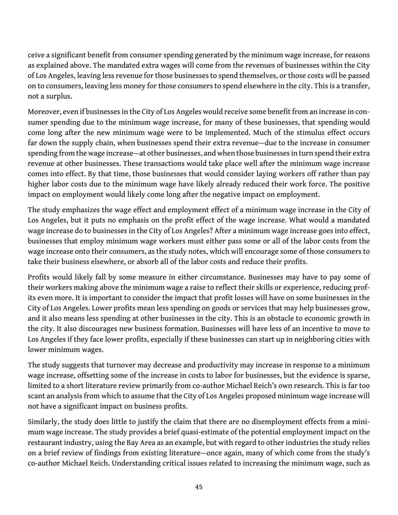ceive a significant benefit from consumer spending generated by the minimum wage increase, for reasons as explained above. The mandated extra wages will come from the revenues of businesses within the City of Los Angeles, leaving less revenue for those businesses to spend themselves, or those costs will be passed on to consumers, leaving less money for those consumers to spend elsewhere in the city. This is a transfer, not a surplus.

Moreover, even if businesses in the City of Los Angeles would receive some benefit from an increase in consumer spending due to the minimum wage increase, for many of these businesses, that spending would come long after the new minimum wage were to be implemented. Much of the stimulus effect occurs far down the supply chain, when businesses spend their extra revenue—due to the increase in consumer spending from the wage increase—at other businesses, and when those businesses in turn spend their extra revenue at other businesses. These transactions would take place well after the minimum wage increase comes into effect. By that time, those businesses that would consider laying workers off rather than pay higher labor costs due to the minimum wage have likely already reduced their work force. The positive impact on employment would likely come long after the negative impact on employment.

The study emphasizes the wage effect and employment effect of a minimum wage increase in the City of Los Angeles, but it puts no emphasis on the profit effect of the wage increase. What would a mandated wage increase do to businesses in the City of Los Angeles? After a minimum wage increase goes into effect, businesses that employ minimum wage workers must either pass some or all of the labor costs from the wage increase onto their consumers, as the study notes, which will encourage some of those consumers to take their business elsewhere, or absorb all of the labor costs and reduce their profits.

Profits would likely fall by some measure in either circumstance. Businesses may have to pay some of their workers making above the minimum wage a raise to reflect their skills or experience, reducing profits even more. It is important to consider the impact that profit losses will have on some businesses in the City of Los Angeles. Lower profits mean less spending on goods or services that may help businesses grow, and it also means less spending at other businesses in the city. This is an obstacle to economic growth in the city. It also discourages new business formation. Businesses will have less of an incentive to move to Los Angeles if they face lower profits, especially if these businesses can start up in neighboring cities with lower minimum wages.

The study suggests that turnover may decrease and productivity may increase in response to a minimum wage increase, offsetting some of the increase in costs to labor for businesses, but the evidence is sparse, limited to a short literature review primarily from co-author Michael Reich's own research. This is far too scant an analysis from which to assume that the City of Los Angeles proposed minimum wage increase will not have a significant impact on business profits.

Similarly, the study does little to justify the claim that there are no disemployment effects from a minimum wage increase. The study provides a brief quasi-estimate of the potential employment impact on the restaurant industry, using the Bay Area as an example, but with regard to other industries the study relies on a brief review of findings from existing literature—once again, many of which come from the study's co-author Michael Reich. Understanding critical issues related to increasing the minimum wage, such as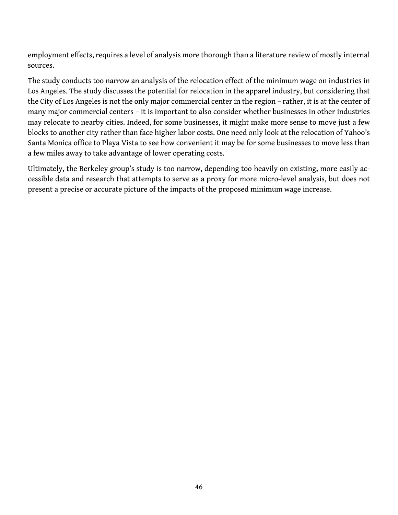employment effects, requires a level of analysis more thorough than a literature review of mostly internal sources.

The study conducts too narrow an analysis of the relocation effect of the minimum wage on industries in Los Angeles. The study discusses the potential for relocation in the apparel industry, but considering that the City of Los Angeles is not the only major commercial center in the region – rather, it is at the center of many major commercial centers – it is important to also consider whether businesses in other industries may relocate to nearby cities. Indeed, for some businesses, it might make more sense to move just a few blocks to another city rather than face higher labor costs. One need only look at the relocation of Yahoo's Santa Monica office to Playa Vista to see how convenient it may be for some businesses to move less than a few miles away to take advantage of lower operating costs.

Ultimately, the Berkeley group's study is too narrow, depending too heavily on existing, more easily accessible data and research that attempts to serve as a proxy for more micro-level analysis, but does not present a precise or accurate picture of the impacts of the proposed minimum wage increase.